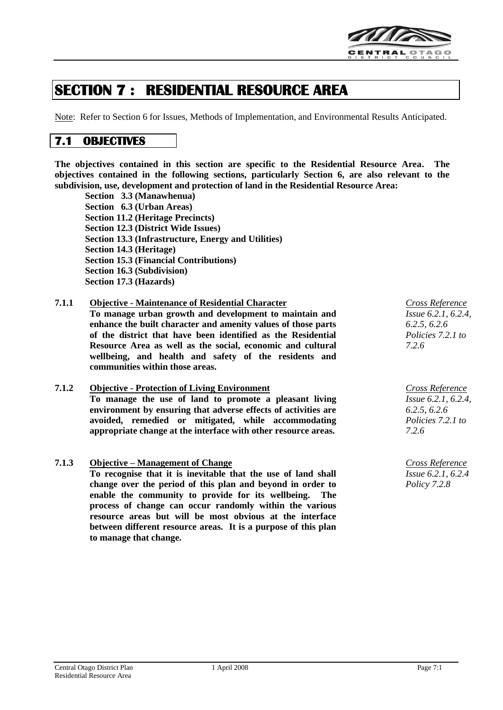

# **SECTION 7 : RESIDENTIAL RESOURCE AREA**

Note: Refer to Section 6 for Issues, Methods of Implementation, and Environmental Results Anticipated.

# **7.1 OBJECTIVES**

**The objectives contained in this section are specific to the Residential Resource Area. The objectives contained in the following sections, particularly Section 6, are also relevant to the subdivision, use, development and protection of land in the Residential Resource Area:**

**Section 3.3 (Manawhenua) Section 6.3 (Urban Areas) Section 11.2 (Heritage Precincts) Section 12.3 (District Wide Issues) Section 13.3 (Infrastructure, Energy and Utilities) Section 14.3 (Heritage) Section 15.3 (Financial Contributions) Section 16.3 (Subdivision) Section 17.3 (Hazards)**

### **7.1.1 Objective - Maintenance of Residential Character**

**To manage urban growth and development to maintain and enhance the built character and amenity values of those parts of the district that have been identified as the Residential Resource Area as well as the social, economic and cultural wellbeing, and health and safety of the residents and communities within those areas.**

# **7.1.2 Objective - Protection of Living Environment**

**To manage the use of land to promote a pleasant living environment by ensuring that adverse effects of activities are avoided, remedied or mitigated, while accommodating appropriate change at the interface with other resource areas.**

# **7.1.3 Objective – Management of Change** *Cross Reference*

**To recognise that it is inevitable that the use of land shall change over the period of this plan and beyond in order to enable the community to provide for its wellbeing. The process of change can occur randomly within the various resource areas but will be most obvious at the interface between different resource areas. It is a purpose of this plan to manage that change.**

*Cross Reference Issue 6.2.1, 6.2.4, 6.2.5, 6.2.6 Policies 7.2.1 to 7.2.6*

*Cross Reference Issue 6.2.1, 6.2.4, 6.2.5, 6.2.6 Policies 7.2.1 to 7.2.6*

*Issue 6.2.1, 6.2.4 Policy 7.2.8*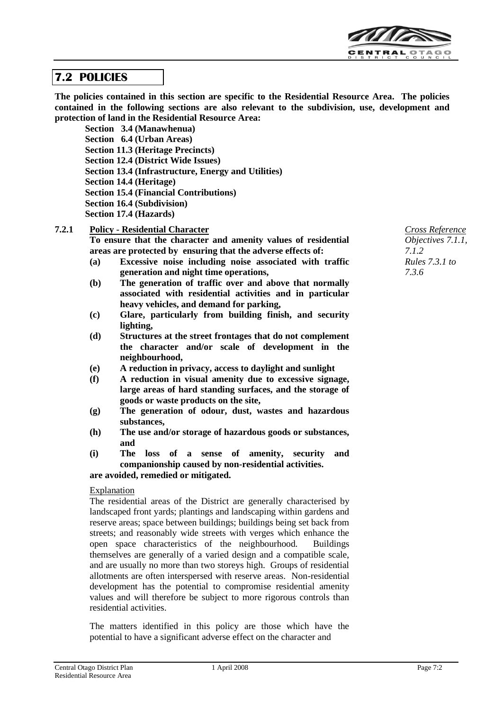

# **7.2 POLICIES**

**The policies contained in this section are specific to the Residential Resource Area. The policies contained in the following sections are also relevant to the subdivision, use, development and protection of land in the Residential Resource Area:**

**Section 3.4 (Manawhenua) Section 6.4 (Urban Areas) Section 11.3 (Heritage Precincts) Section 12.4 (District Wide Issues) Section 13.4 (Infrastructure, Energy and Utilities) Section 14.4 (Heritage) Section 15.4 (Financial Contributions) Section 16.4 (Subdivision) Section 17.4 (Hazards)**

### **7.2.1 Policy - Residential Character**

**To ensure that the character and amenity values of residential areas are protected by ensuring that the adverse effects of:**

- **(a) Excessive noise including noise associated with traffic generation and night time operations,**
- **(b) The generation of traffic over and above that normally associated with residential activities and in particular heavy vehicles, and demand for parking,**
- **(c) Glare, particularly from building finish, and security lighting,**
- **(d) Structures at the street frontages that do not complement the character and/or scale of development in the neighbourhood,**
- **(e) A reduction in privacy, access to daylight and sunlight**
- **(f) A reduction in visual amenity due to excessive signage, large areas of hard standing surfaces, and the storage of goods or waste products on the site,**
- **(g) The generation of odour, dust, wastes and hazardous substances,**
- **(h) The use and/or storage of hazardous goods or substances, and**
- **(i) The loss of a sense of amenity, security and companionship caused by non-residential activities. are avoided, remedied or mitigated.**

**Explanation** 

The residential areas of the District are generally characterised by landscaped front yards; plantings and landscaping within gardens and reserve areas; space between buildings; buildings being set back from streets; and reasonably wide streets with verges which enhance the open space characteristics of the neighbourhood. Buildings themselves are generally of a varied design and a compatible scale, and are usually no more than two storeys high. Groups of residential allotments are often interspersed with reserve areas. Non-residential development has the potential to compromise residential amenity values and will therefore be subject to more rigorous controls than residential activities.

The matters identified in this policy are those which have the potential to have a significant adverse effect on the character and

*Cross Reference Objectives 7.1.1, 7.1.2 Rules 7.3.1 to 7.3.6*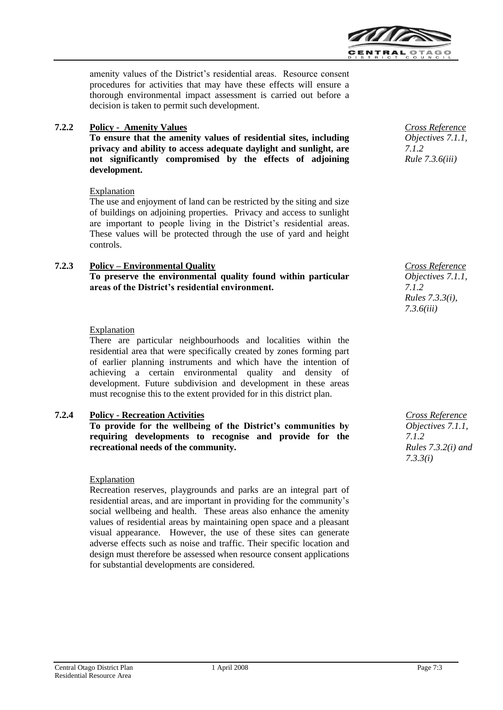

amenity values of the District's residential areas. Resource consent procedures for activities that may have these effects will ensure a thorough environmental impact assessment is carried out before a decision is taken to permit such development.

# **7.2.2 Policy - Amenity Values**

**To ensure that the amenity values of residential sites, including privacy and ability to access adequate daylight and sunlight, are not significantly compromised by the effects of adjoining development.**

#### Explanation

The use and enjoyment of land can be restricted by the siting and size of buildings on adjoining properties. Privacy and access to sunlight are important to people living in the District's residential areas. These values will be protected through the use of yard and height controls.

### **7.2.3 Policy – Environmental Quality To preserve the environmental quality found within particular areas of the District's residential environment.**

### Explanation

There are particular neighbourhoods and localities within the residential area that were specifically created by zones forming part of earlier planning instruments and which have the intention of achieving a certain environmental quality and density of development. Future subdivision and development in these areas must recognise this to the extent provided for in this district plan.

# **7.2.4 Policy - Recreation Activities**

**To provide for the wellbeing of the District's communities by requiring developments to recognise and provide for the recreational needs of the community.**

#### Explanation

Recreation reserves, playgrounds and parks are an integral part of residential areas, and are important in providing for the community's social wellbeing and health. These areas also enhance the amenity values of residential areas by maintaining open space and a pleasant visual appearance. However, the use of these sites can generate adverse effects such as noise and traffic. Their specific location and design must therefore be assessed when resource consent applications for substantial developments are considered.

*Cross Reference Objectives 7.1.1, 7.1.2 Rule 7.3.6(iii)*

*Cross Reference Objectives 7.1.1, 7.1.2 Rules 7.3.3(i), 7.3.6(iii)*

*Cross Reference Objectives 7.1.1, 7.1.2 Rules 7.3.2(i) and 7.3.3(i)*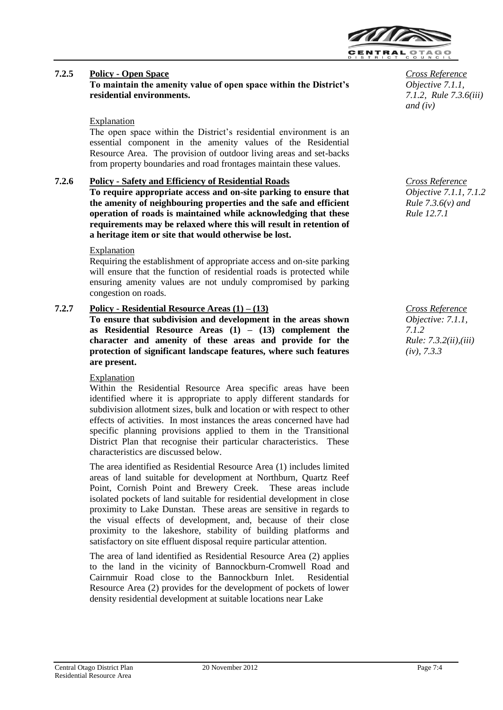

# **7.2.5 Policy - Open Space To maintain the amenity value of open space within the District's residential environments.**

#### **Explanation**

The open space within the District's residential environment is an essential component in the amenity values of the Residential Resource Area. The provision of outdoor living areas and set-backs from property boundaries and road frontages maintain these values.

### **7.2.6 Policy - Safety and Efficiency of Residential Roads**

**To require appropriate access and on-site parking to ensure that the amenity of neighbouring properties and the safe and efficient operation of roads is maintained while acknowledging that these requirements may be relaxed where this will result in retention of a heritage item or site that would otherwise be lost.**

#### Explanation

Requiring the establishment of appropriate access and on-site parking will ensure that the function of residential roads is protected while ensuring amenity values are not unduly compromised by parking congestion on roads.

# **7.2.7 Policy - Residential Resource Areas (1) – (13)**

**To ensure that subdivision and development in the areas shown as Residential Resource Areas (1) – (13) complement the character and amenity of these areas and provide for the protection of significant landscape features, where such features are present.**

#### Explanation

Within the Residential Resource Area specific areas have been identified where it is appropriate to apply different standards for subdivision allotment sizes, bulk and location or with respect to other effects of activities. In most instances the areas concerned have had specific planning provisions applied to them in the Transitional District Plan that recognise their particular characteristics. These characteristics are discussed below.

The area identified as Residential Resource Area (1) includes limited areas of land suitable for development at Northburn, Quartz Reef Point, Cornish Point and Brewery Creek. These areas include isolated pockets of land suitable for residential development in close proximity to Lake Dunstan. These areas are sensitive in regards to the visual effects of development, and, because of their close proximity to the lakeshore, stability of building platforms and satisfactory on site effluent disposal require particular attention.

The area of land identified as Residential Resource Area (2) applies to the land in the vicinity of Bannockburn-Cromwell Road and Cairnmuir Road close to the Bannockburn Inlet. Residential Resource Area (2) provides for the development of pockets of lower density residential development at suitable locations near Lake

*Cross Reference Objective 7.1.1, 7.1.2, Rule 7.3.6(iii) and (iv)*

*Cross Reference Objective 7.1.1, 7.1.2 Rule 7.3.6(v) and Rule 12.7.1*

*Cross Reference Objective: 7.1.1, 7.1.2 Rule: 7.3.2(ii),(iii) (iv), 7.3.3*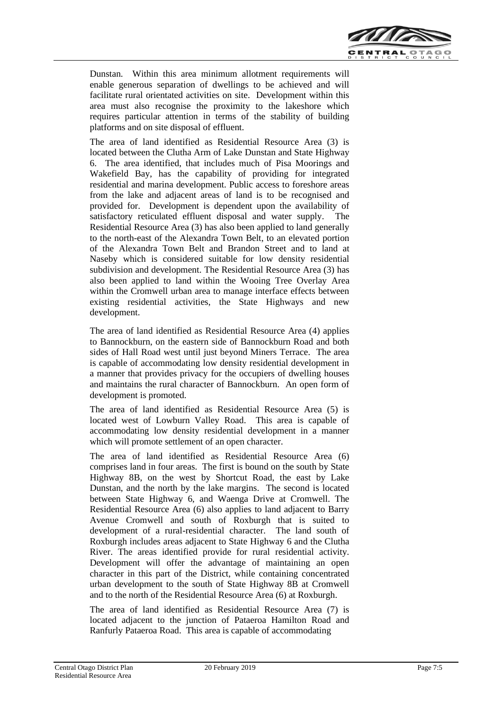

Dunstan. Within this area minimum allotment requirements will enable generous separation of dwellings to be achieved and will facilitate rural orientated activities on site. Development within this area must also recognise the proximity to the lakeshore which requires particular attention in terms of the stability of building platforms and on site disposal of effluent.

The area of land identified as Residential Resource Area (3) is located between the Clutha Arm of Lake Dunstan and State Highway 6. The area identified, that includes much of Pisa Moorings and Wakefield Bay, has the capability of providing for integrated residential and marina development. Public access to foreshore areas from the lake and adjacent areas of land is to be recognised and provided for. Development is dependent upon the availability of satisfactory reticulated effluent disposal and water supply. The Residential Resource Area (3) has also been applied to land generally to the north-east of the Alexandra Town Belt, to an elevated portion of the Alexandra Town Belt and Brandon Street and to land at Naseby which is considered suitable for low density residential subdivision and development. The Residential Resource Area (3) has also been applied to land within the Wooing Tree Overlay Area within the Cromwell urban area to manage interface effects between existing residential activities, the State Highways and new development.

The area of land identified as Residential Resource Area (4) applies to Bannockburn, on the eastern side of Bannockburn Road and both sides of Hall Road west until just beyond Miners Terrace. The area is capable of accommodating low density residential development in a manner that provides privacy for the occupiers of dwelling houses and maintains the rural character of Bannockburn. An open form of development is promoted.

The area of land identified as Residential Resource Area (5) is located west of Lowburn Valley Road. This area is capable of accommodating low density residential development in a manner which will promote settlement of an open character.

The area of land identified as Residential Resource Area (6) comprises land in four areas. The first is bound on the south by State Highway 8B, on the west by Shortcut Road, the east by Lake Dunstan, and the north by the lake margins. The second is located between State Highway 6, and Waenga Drive at Cromwell. The Residential Resource Area (6) also applies to land adjacent to Barry Avenue Cromwell and south of Roxburgh that is suited to development of a rural-residential character. The land south of Roxburgh includes areas adjacent to State Highway 6 and the Clutha River. The areas identified provide for rural residential activity. Development will offer the advantage of maintaining an open character in this part of the District, while containing concentrated urban development to the south of State Highway 8B at Cromwell and to the north of the Residential Resource Area (6) at Roxburgh.

The area of land identified as Residential Resource Area (7) is located adjacent to the junction of Pataeroa Hamilton Road and Ranfurly Pataeroa Road. This area is capable of accommodating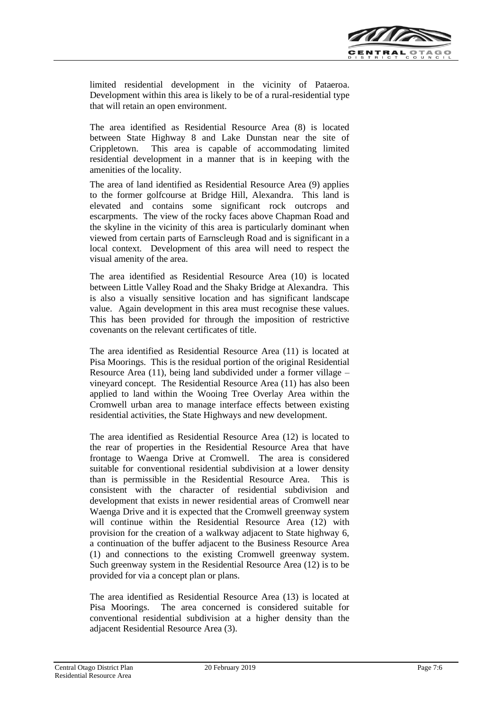

limited residential development in the vicinity of Pataeroa. Development within this area is likely to be of a rural-residential type that will retain an open environment.

The area identified as Residential Resource Area (8) is located between State Highway 8 and Lake Dunstan near the site of Crippletown. This area is capable of accommodating limited residential development in a manner that is in keeping with the amenities of the locality.

The area of land identified as Residential Resource Area (9) applies to the former golfcourse at Bridge Hill, Alexandra. This land is elevated and contains some significant rock outcrops and escarpments. The view of the rocky faces above Chapman Road and the skyline in the vicinity of this area is particularly dominant when viewed from certain parts of Earnscleugh Road and is significant in a local context. Development of this area will need to respect the visual amenity of the area.

The area identified as Residential Resource Area (10) is located between Little Valley Road and the Shaky Bridge at Alexandra. This is also a visually sensitive location and has significant landscape value. Again development in this area must recognise these values. This has been provided for through the imposition of restrictive covenants on the relevant certificates of title.

The area identified as Residential Resource Area (11) is located at Pisa Moorings. This is the residual portion of the original Residential Resource Area (11), being land subdivided under a former village – vineyard concept. The Residential Resource Area (11) has also been applied to land within the Wooing Tree Overlay Area within the Cromwell urban area to manage interface effects between existing residential activities, the State Highways and new development.

The area identified as Residential Resource Area (12) is located to the rear of properties in the Residential Resource Area that have frontage to Waenga Drive at Cromwell. The area is considered suitable for conventional residential subdivision at a lower density than is permissible in the Residential Resource Area. This is consistent with the character of residential subdivision and development that exists in newer residential areas of Cromwell near Waenga Drive and it is expected that the Cromwell greenway system will continue within the Residential Resource Area (12) with provision for the creation of a walkway adjacent to State highway 6, a continuation of the buffer adjacent to the Business Resource Area (1) and connections to the existing Cromwell greenway system. Such greenway system in the Residential Resource Area (12) is to be provided for via a concept plan or plans.

The area identified as Residential Resource Area (13) is located at Pisa Moorings. The area concerned is considered suitable for conventional residential subdivision at a higher density than the adjacent Residential Resource Area (3).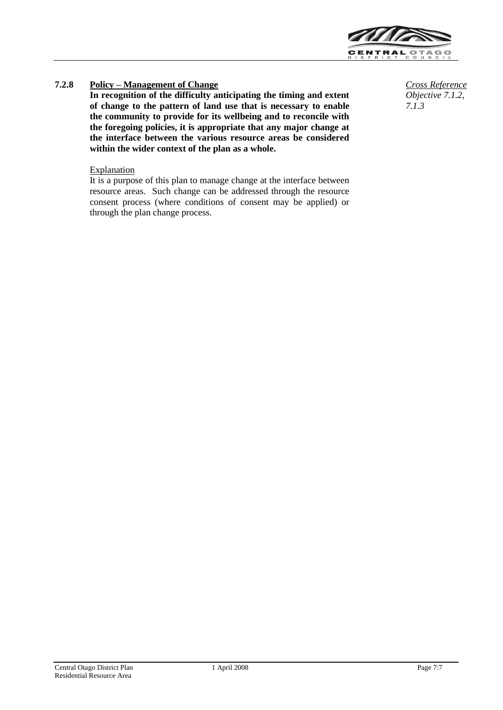

# **7.2.8 Policy – Management of Change** *Cross Reference*

**In recognition of the difficulty anticipating the timing and extent of change to the pattern of land use that is necessary to enable the community to provide for its wellbeing and to reconcile with the foregoing policies, it is appropriate that any major change at the interface between the various resource areas be considered within the wider context of the plan as a whole.**

#### **Explanation**

It is a purpose of this plan to manage change at the interface between resource areas. Such change can be addressed through the resource consent process (where conditions of consent may be applied) or through the plan change process.

*Objective 7.1.2, 7.1.3*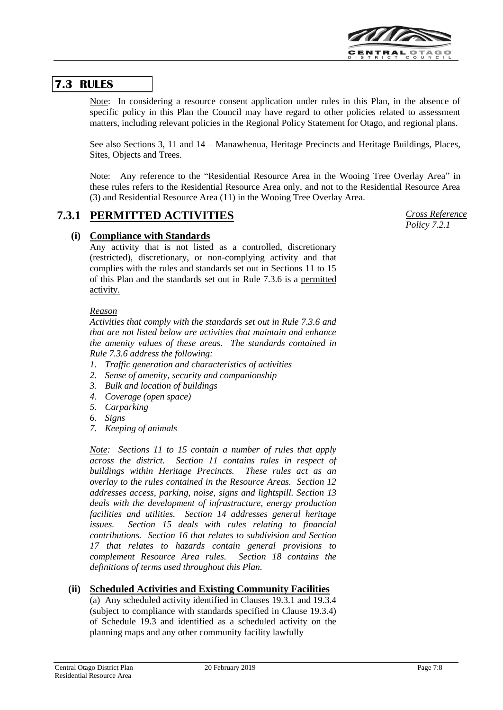

# **7.3 RULES**

Note: In considering a resource consent application under rules in this Plan, in the absence of specific policy in this Plan the Council may have regard to other policies related to assessment matters, including relevant policies in the Regional Policy Statement for Otago, and regional plans.

See also Sections 3, 11 and 14 – Manawhenua, Heritage Precincts and Heritage Buildings, Places, Sites, Objects and Trees.

Note: Any reference to the "Residential Resource Area in the Wooing Tree Overlay Area" in these rules refers to the Residential Resource Area only, and not to the Residential Resource Area (3) and Residential Resource Area (11) in the Wooing Tree Overlay Area.

# **7.3.1 PERMITTED ACTIVITIES**

# **(i) Compliance with Standards**

Any activity that is not listed as a controlled, discretionary (restricted), discretionary, or non-complying activity and that complies with the rules and standards set out in Sections 11 to 15 of this Plan and the standards set out in Rule 7.3.6 is a permitted activity.

### *Reason*

*Activities that comply with the standards set out in Rule 7.3.6 and that are not listed below are activities that maintain and enhance the amenity values of these areas. The standards contained in Rule 7.3.6 address the following:*

- *1. Traffic generation and characteristics of activities*
- *2. Sense of amenity, security and companionship*
- *3. Bulk and location of buildings*
- *4. Coverage (open space)*
- *5. Carparking*
- *6. Signs*
- *7. Keeping of animals*

*Note: Sections 11 to 15 contain a number of rules that apply across the district. Section 11 contains rules in respect of buildings within Heritage Precincts. These rules act as an overlay to the rules contained in the Resource Areas. Section 12 addresses access, parking, noise, signs and lightspill. Section 13 deals with the development of infrastructure, energy production facilities and utilities. Section 14 addresses general heritage issues. Section 15 deals with rules relating to financial contributions. Section 16 that relates to subdivision and Section 17 that relates to hazards contain general provisions to complement Resource Area rules. Section 18 contains the definitions of terms used throughout this Plan.*

# **(ii) Scheduled Activities and Existing Community Facilities**

(a) Any scheduled activity identified in Clauses 19.3.1 and 19.3.4 (subject to compliance with standards specified in Clause 19.3.4) of Schedule 19.3 and identified as a scheduled activity on the planning maps and any other community facility lawfully

*Cross Reference Policy 7.2.1*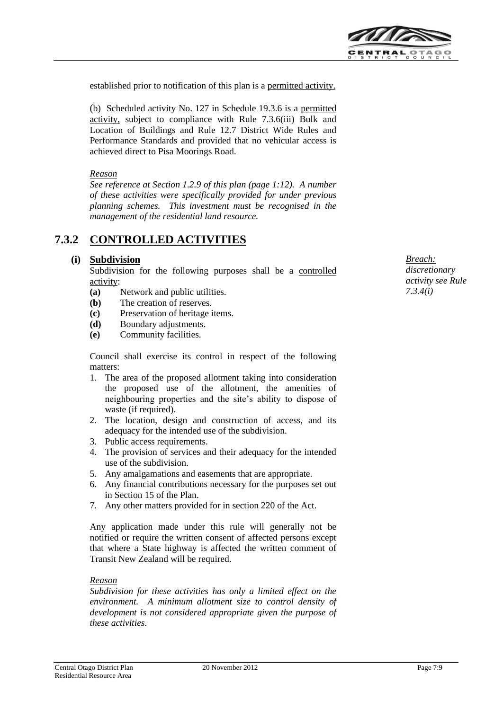

established prior to notification of this plan is a permitted activity.

(b) Scheduled activity No. 127 in Schedule 19.3.6 is a permitted activity, subject to compliance with Rule 7.3.6(iii) Bulk and Location of Buildings and Rule 12.7 District Wide Rules and Performance Standards and provided that no vehicular access is achieved direct to Pisa Moorings Road.

#### *Reason*

*See reference at Section 1.2.9 of this plan (page 1:12). A number of these activities were specifically provided for under previous planning schemes. This investment must be recognised in the management of the residential land resource.*

# **7.3.2 CONTROLLED ACTIVITIES**

#### **(i) Subdivision**

Subdivision for the following purposes shall be a controlled activity:

- **(a)** Network and public utilities.
- **(b)** The creation of reserves.
- **(c)** Preservation of heritage items.
- **(d)** Boundary adjustments.
- **(e)** Community facilities.

Council shall exercise its control in respect of the following matters:

- 1. The area of the proposed allotment taking into consideration the proposed use of the allotment, the amenities of neighbouring properties and the site's ability to dispose of waste (if required).
- 2. The location, design and construction of access, and its adequacy for the intended use of the subdivision.
- 3. Public access requirements.
- 4. The provision of services and their adequacy for the intended use of the subdivision.
- 5. Any amalgamations and easements that are appropriate.
- 6. Any financial contributions necessary for the purposes set out in Section 15 of the Plan.
- 7. Any other matters provided for in section 220 of the Act.

Any application made under this rule will generally not be notified or require the written consent of affected persons except that where a State highway is affected the written comment of Transit New Zealand will be required.

#### *Reason*

*Subdivision for these activities has only a limited effect on the environment. A minimum allotment size to control density of development is not considered appropriate given the purpose of these activities.*

*Breach: discretionary activity see Rule 7.3.4(i)*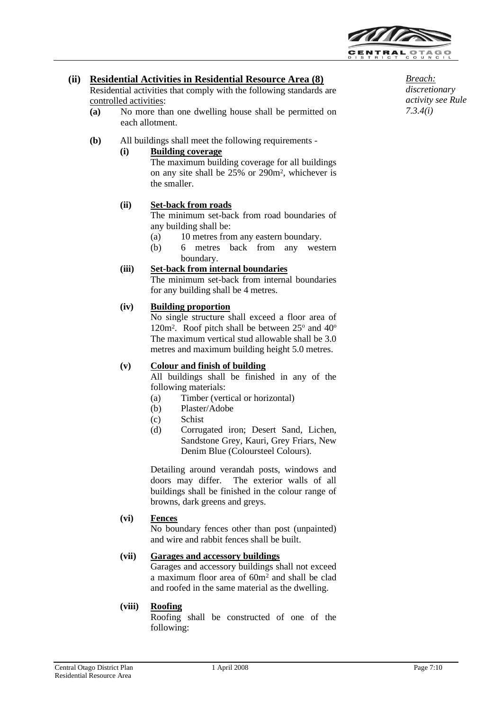

*Breach: discretionary activity see Rule* 

*7.3.4(i)*

# **(ii) Residential Activities in Residential Resource Area (8)**

Residential activities that comply with the following standards are controlled activities:

- **(a)** No more than one dwelling house shall be permitted on each allotment.
- **(b)** All buildings shall meet the following requirements -

### **(i) Building coverage**

The maximum building coverage for all buildings on any site shall be 25% or 290m<sup>2</sup> , whichever is the smaller.

### **(ii) Set-back from roads**

The minimum set-back from road boundaries of any building shall be:

- (a) 10 metres from any eastern boundary.
- (b) 6 metres back from any western boundary.

# **(iii) Set-back from internal boundaries**

The minimum set-back from internal boundaries for any building shall be 4 metres.

#### **(iv) Building proportion**

No single structure shall exceed a floor area of 120m<sup>2</sup>. Roof pitch shall be between  $25^{\circ}$  and  $40^{\circ}$ The maximum vertical stud allowable shall be 3.0 metres and maximum building height 5.0 metres.

#### **(v) Colour and finish of building**

All buildings shall be finished in any of the following materials:

- (a) Timber (vertical or horizontal)
- (b) Plaster/Adobe
- (c) Schist
- (d) Corrugated iron; Desert Sand, Lichen, Sandstone Grey, Kauri, Grey Friars, New Denim Blue (Coloursteel Colours).

Detailing around verandah posts, windows and doors may differ. The exterior walls of all buildings shall be finished in the colour range of browns, dark greens and greys.

#### **(vi) Fences**

No boundary fences other than post (unpainted) and wire and rabbit fences shall be built.

#### **(vii) Garages and accessory buildings**

Garages and accessory buildings shall not exceed a maximum floor area of 60m<sup>2</sup> and shall be clad and roofed in the same material as the dwelling.

#### **(viii) Roofing**

Roofing shall be constructed of one of the following: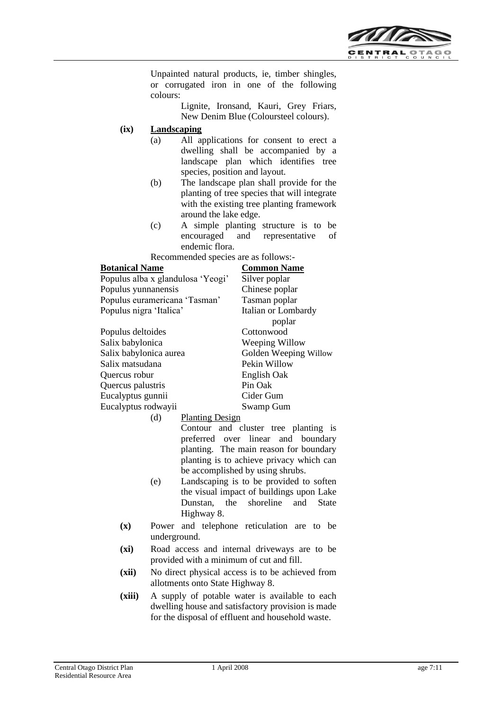

Unpainted natural products, ie, timber shingles, or corrugated iron in one of the following colours:

Lignite, Ironsand, Kauri, Grey Friars, New Denim Blue (Coloursteel colours).

#### **(ix) Landscaping**

- (a) All applications for consent to erect a dwelling shall be accompanied by a landscape plan which identifies tree species, position and layout.
- (b) The landscape plan shall provide for the planting of tree species that will integrate with the existing tree planting framework around the lake edge.
- (c) A simple planting structure is to be encouraged and representative of endemic flora.

Recommended species are as follows:-

| <b>Botanical Name</b>             | <b>Common Name</b>    |
|-----------------------------------|-----------------------|
| Populus alba x glandulosa 'Yeogi' | Silver poplar         |
| Populus yunnanensis               | Chinese poplar        |
| Populus euramericana 'Tasman'     | Tasman poplar         |
| Populus nigra 'Italica'           | Italian or Lombardy   |
|                                   | poplar                |
| Populus deltoides                 | Cottonwood            |
| Salix babylonica                  | Weeping Willow        |
| Salix babylonica aurea            | Golden Weeping Willow |
| Salix matsudana                   | Pekin Willow          |
| Quercus robur                     | English Oak           |
| Quercus palustris                 | Pin Oak               |
| Eucalyptus gunnii                 | Cider Gum             |
| Eucalyptus rodwayii               | Swamp Gum             |

(d) Planting Design

Contour and cluster tree planting is preferred over linear and boundary planting. The main reason for boundary planting is to achieve privacy which can be accomplished by using shrubs.

- (e) Landscaping is to be provided to soften the visual impact of buildings upon Lake Dunstan, the shoreline and State Highway 8.
- **(x)** Power and telephone reticulation are to be underground.
- **(xi)** Road access and internal driveways are to be provided with a minimum of cut and fill.
- **(xii)** No direct physical access is to be achieved from allotments onto State Highway 8.
- **(xiii)** A supply of potable water is available to each dwelling house and satisfactory provision is made for the disposal of effluent and household waste.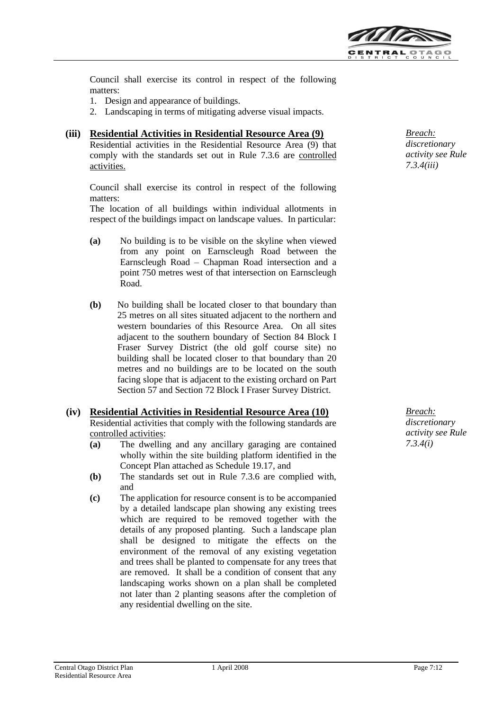

Council shall exercise its control in respect of the following matters:

- 1. Design and appearance of buildings.
- 2. Landscaping in terms of mitigating adverse visual impacts.

### **(iii) Residential Activities in Residential Resource Area (9)**

Residential activities in the Residential Resource Area (9) that comply with the standards set out in Rule 7.3.6 are controlled activities.

Council shall exercise its control in respect of the following matters:

The location of all buildings within individual allotments in respect of the buildings impact on landscape values. In particular:

- **(a)** No building is to be visible on the skyline when viewed from any point on Earnscleugh Road between the Earnscleugh Road – Chapman Road intersection and a point 750 metres west of that intersection on Earnscleugh Road.
- **(b)** No building shall be located closer to that boundary than 25 metres on all sites situated adjacent to the northern and western boundaries of this Resource Area. On all sites adjacent to the southern boundary of Section 84 Block I Fraser Survey District (the old golf course site) no building shall be located closer to that boundary than 20 metres and no buildings are to be located on the south facing slope that is adjacent to the existing orchard on Part Section 57 and Section 72 Block I Fraser Survey District.

# **(iv) Residential Activities in Residential Resource Area (10)**

Residential activities that comply with the following standards are controlled activities:

- **(a)** The dwelling and any ancillary garaging are contained wholly within the site building platform identified in the Concept Plan attached as Schedule 19.17, and
- **(b)** The standards set out in Rule 7.3.6 are complied with, and
- **(c)** The application for resource consent is to be accompanied by a detailed landscape plan showing any existing trees which are required to be removed together with the details of any proposed planting. Such a landscape plan shall be designed to mitigate the effects on the environment of the removal of any existing vegetation and trees shall be planted to compensate for any trees that are removed. It shall be a condition of consent that any landscaping works shown on a plan shall be completed not later than 2 planting seasons after the completion of any residential dwelling on the site.

*Breach: discretionary activity see Rule 7.3.4(iii)*

*Breach: discretionary activity see Rule 7.3.4(i)*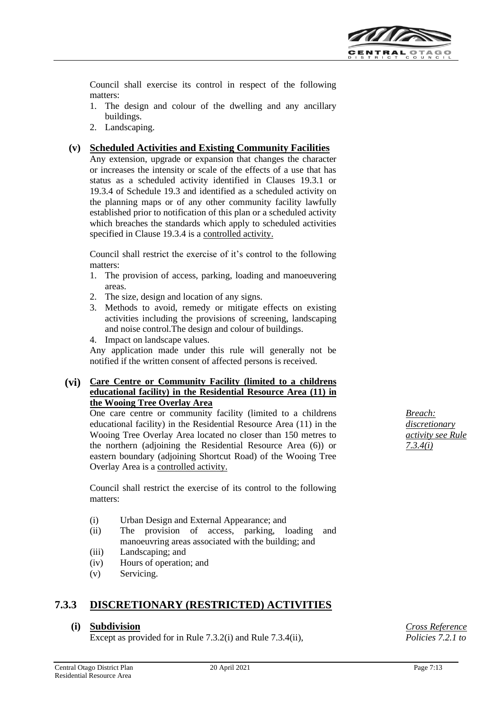

Council shall exercise its control in respect of the following matters:

- 1. The design and colour of the dwelling and any ancillary buildings.
- 2. Landscaping.

### **(v) Scheduled Activities and Existing Community Facilities**

Any extension, upgrade or expansion that changes the character or increases the intensity or scale of the effects of a use that has status as a scheduled activity identified in Clauses 19.3.1 or 19.3.4 of Schedule 19.3 and identified as a scheduled activity on the planning maps or of any other community facility lawfully established prior to notification of this plan or a scheduled activity which breaches the standards which apply to scheduled activities specified in Clause 19.3.4 is a controlled activity.

Council shall restrict the exercise of it's control to the following matters:

- 1. The provision of access, parking, loading and manoeuvering areas.
- 2. The size, design and location of any signs.
- 3. Methods to avoid, remedy or mitigate effects on existing activities including the provisions of screening, landscaping and noise control.The design and colour of buildings.

4. Impact on landscape values.

Any application made under this rule will generally not be notified if the written consent of affected persons is received.

# **(vi) Care Centre or Community Facility (limited to a childrens educational facility) in the Residential Resource Area (11) in the Wooing Tree Overlay Area**

One care centre or community facility (limited to a childrens educational facility) in the Residential Resource Area (11) in the Wooing Tree Overlay Area located no closer than 150 metres to the northern (adjoining the Residential Resource Area (6)) or eastern boundary (adjoining Shortcut Road) of the Wooing Tree Overlay Area is a controlled activity.

Council shall restrict the exercise of its control to the following matters:

- (i) Urban Design and External Appearance; and
- (ii) The provision of access, parking, loading and manoeuvring areas associated with the building; and
- (iii) Landscaping; and
- (iv) Hours of operation; and
- (v) Servicing.

# **7.3.3 DISCRETIONARY (RESTRICTED) ACTIVITIES**

#### **(i) Subdivision**

Except as provided for in Rule 7.3.2(i) and Rule 7.3.4(ii),

 *Breach: discretionary activity see Rule 7.3.4(i)*

*Cross Reference Policies 7.2.1 to*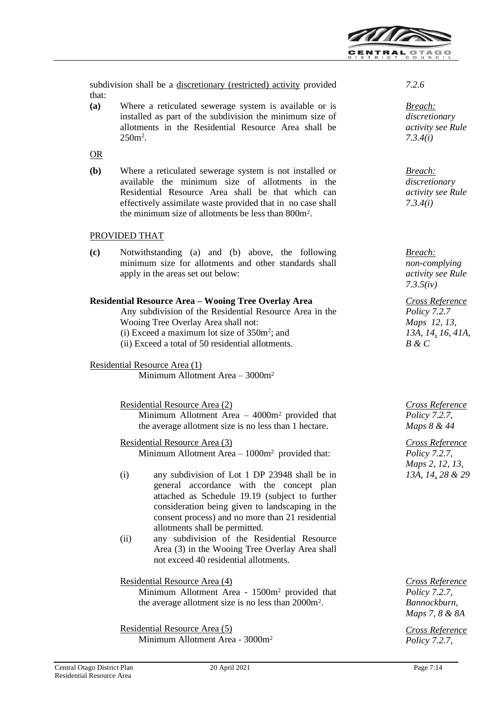

subdivision shall be a discretionary (restricted) activity provided that:

**(a)** Where a reticulated sewerage system is available or is installed as part of the subdivision the minimum size of allotments in the Residential Resource Area shall be  $250<sup>m²</sup>$ .

OR

**(b)** Where a reticulated sewerage system is not installed or available the minimum size of allotments in the Residential Resource Area shall be that which can effectively assimilate waste provided that in no case shall the minimum size of allotments be less than 800m<sup>2</sup> .

# PROVIDED THAT

**(c)** Notwithstanding (a) and (b) above, the following minimum size for allotments and other standards shall apply in the areas set out below:

### **Residential Resource Area – Wooing Tree Overlay Area**

Any subdivision of the Residential Resource Area in the Wooing Tree Overlay Area shall not:

- $(i)$  Exceed a maximum lot size of 350 $m^2$ ; and
- (ii) Exceed a total of 50 residential allotments.

#### Residential Resource Area (1)

Minimum Allotment Area – 3000m<sup>2</sup>

Residential Resource Area (2) Minimum Allotment Area – 4000m<sup>2</sup> provided that the average allotment size is no less than 1 hectare.

Residential Resource Area (3) Minimum Allotment Area – 1000m<sup>2</sup> provided that:

- (i) any subdivision of Lot 1 DP 23948 shall be in general accordance with the concept plan attached as Schedule 19.19 (subject to further consideration being given to landscaping in the consent process) and no more than 21 residential allotments shall be permitted.
- (ii) any subdivision of the Residential Resource Area (3) in the Wooing Tree Overlay Area shall not exceed 40 residential allotments.

#### Residential Resource Area (4)

Minimum Allotment Area - 1500m<sup>2</sup> provided that the average allotment size is no less than 2000m<sup>2</sup> .

Residential Resource Area (5)

Minimum Allotment Area - 3000m<sup>2</sup>

*Breach: discretionary activity see Rule 7.3.4(i)*

*Breach: discretionary activity see Rule 7.3.4(i)*

*Breach: non-complying activity see Rule 7.3.5(iv)*

*Cross Reference Policy 7.2.7 Maps 12, 13, 13A, 14, 16, 41A, B & C*

*Cross Reference Policy 7.2.7, Maps 8 & 44*

*Cross Reference Policy 7.2.7, Maps 2, 12, 13, 13A, 14, 28 & 29*

*Cross Reference Policy 7.2.7, Bannockburn, Maps 7, 8 & 8A*

*Cross Reference Policy 7.2.7,*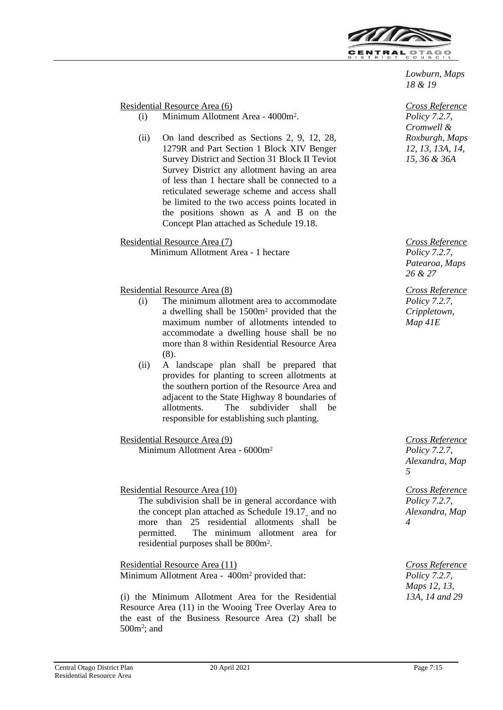

*Lowburn, Maps 18 & 19*

*Cross Reference Policy 7.2.7, Cromwell & Roxburgh, Maps 12, 13, 13A, 14, 15, 36 & 36A*

*Cross Reference Policy 7.2.7, Patearoa, Maps 26 & 27*

*Cross Reference Policy 7.2.7, Crippletown, Map 41E*

*Cross Reference Policy 7.2.7, Alexandra, Map 5*

*Cross Reference Policy 7.2.7, Alexandra, Map 4*

*Cross Reference Policy 7.2.7, Maps 12, 13, 13A, 14 and 29*

Residential Resource Area (6)

- (i) Minimum Allotment Area 4000m<sup>2</sup> .
- (ii) On land described as Sections 2, 9, 12, 28, 1279R and Part Section 1 Block XIV Benger Survey District and Section 31 Block II Teviot Survey District any allotment having an area of less than 1 hectare shall be connected to a reticulated sewerage scheme and access shall be limited to the two access points located in the positions shown as A and B on the Concept Plan attached as Schedule 19.18.

Residential Resource Area (7) Minimum Allotment Area - 1 hectare

### Residential Resource Area (8)

- (i) The minimum allotment area to accommodate a dwelling shall be 1500m<sup>2</sup> provided that the maximum number of allotments intended to accommodate a dwelling house shall be no more than 8 within Residential Resource Area (8).
- (ii) A landscape plan shall be prepared that provides for planting to screen allotments at the southern portion of the Resource Area and adjacent to the State Highway 8 boundaries of allotments. The subdivider shall be responsible for establishing such planting.

Residential Resource Area (9)

Minimum Allotment Area - 6000m<sup>2</sup>

Residential Resource Area (10)

The subdivision shall be in general accordance with the concept plan attached as Schedule 19.17 and no more than 25 residential allotments shall be permitted. The minimum allotment area for residential purposes shall be 800m<sup>2</sup> .

Residential Resource Area (11) Minimum Allotment Area - 400m<sup>2</sup> provided that:

(i) the Minimum Allotment Area for the Residential Resource Area (11) in the Wooing Tree Overlay Area to the east of the Business Resource Area (2) shall be  $500m^2$ ; and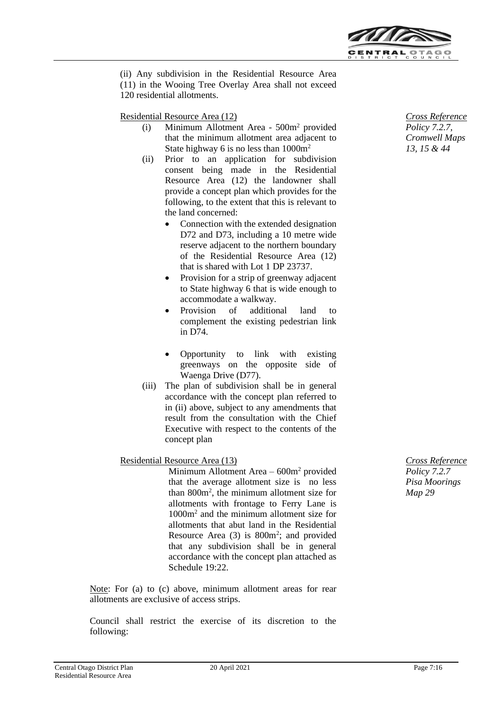

(ii) Any subdivision in the Residential Resource Area (11) in the Wooing Tree Overlay Area shall not exceed 120 residential allotments.

Residential Resource Area (12)

- (i) Minimum Allotment Area 500m<sup>2</sup> provided that the minimum allotment area adjacent to State highway 6 is no less than  $1000m^2$
- (ii) Prior to an application for subdivision consent being made in the Residential Resource Area (12) the landowner shall provide a concept plan which provides for the following, to the extent that this is relevant to the land concerned:
	- Connection with the extended designation D72 and D73, including a 10 metre wide reserve adjacent to the northern boundary of the Residential Resource Area (12) that is shared with Lot 1 DP 23737.
	- Provision for a strip of greenway adjacent to State highway 6 that is wide enough to accommodate a walkway.
	- Provision of additional land to complement the existing pedestrian link in D74.
	- Opportunity to link with existing greenways on the opposite side of Waenga Drive (D77).
- (iii) The plan of subdivision shall be in general accordance with the concept plan referred to in (ii) above, subject to any amendments that result from the consultation with the Chief Executive with respect to the contents of the concept plan

# Residential Resource Area (13)

Minimum Allotment Area – 600m<sup>2</sup> provided that the average allotment size is no less than 800m<sup>2</sup> , the minimum allotment size for allotments with frontage to Ferry Lane is 1000m<sup>2</sup> and the minimum allotment size for allotments that abut land in the Residential Resource Area  $(3)$  is 800 $m^2$ ; and provided that any subdivision shall be in general accordance with the concept plan attached as Schedule 19:22.

Note: For (a) to (c) above, minimum allotment areas for rear allotments are exclusive of access strips.

Council shall restrict the exercise of its discretion to the following:

*Cross Reference Policy 7.2.7, Cromwell Maps 13, 15 & 44*

*Cross Reference Policy 7.2.7 Pisa Moorings Map 29*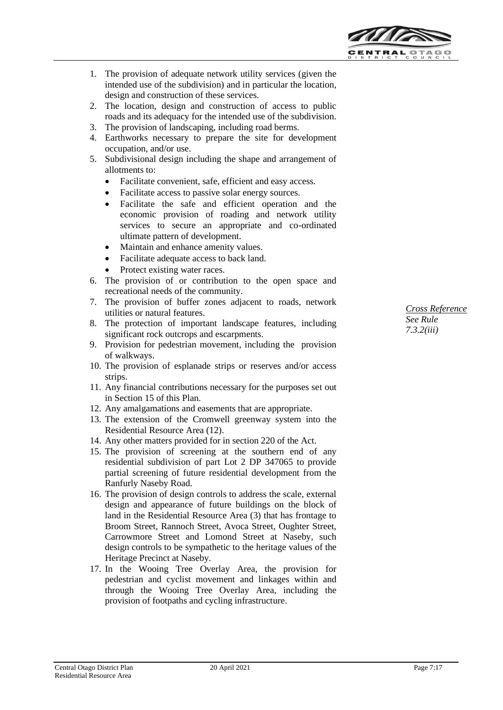

1. The provision of adequate network utility services (given the intended use of the subdivision) and in particular the location, design and construction of these services.

- 2. The location, design and construction of access to public roads and its adequacy for the intended use of the subdivision.
- 3. The provision of landscaping, including road berms.
- 4. Earthworks necessary to prepare the site for development occupation, and/or use.
- 5. Subdivisional design including the shape and arrangement of allotments to:
	- Facilitate convenient, safe, efficient and easy access.
	- Facilitate access to passive solar energy sources.
	- Facilitate the safe and efficient operation and the economic provision of roading and network utility services to secure an appropriate and co-ordinated ultimate pattern of development.
	- Maintain and enhance amenity values.
	- Facilitate adequate access to back land.
	- Protect existing water races.
- 6. The provision of or contribution to the open space and recreational needs of the community.
- 7. The provision of buffer zones adjacent to roads, network utilities or natural features.
- 8. The protection of important landscape features, including significant rock outcrops and escarpments.
- 9. Provision for pedestrian movement, including the provision of walkways.
- 10. The provision of esplanade strips or reserves and/or access strips.
- 11. Any financial contributions necessary for the purposes set out in Section 15 of this Plan.
- 12. Any amalgamations and easements that are appropriate.
- 13. The extension of the Cromwell greenway system into the Residential Resource Area (12).
- 14. Any other matters provided for in section 220 of the Act.
- 15. The provision of screening at the southern end of any residential subdivision of part Lot 2 DP 347065 to provide partial screening of future residential development from the Ranfurly Naseby Road.
- 16. The provision of design controls to address the scale, external design and appearance of future buildings on the block of land in the Residential Resource Area (3) that has frontage to Broom Street, Rannoch Street, Avoca Street, Oughter Street, Carrowmore Street and Lomond Street at Naseby, such design controls to be sympathetic to the heritage values of the Heritage Precinct at Naseby.
- 17. In the Wooing Tree Overlay Area, the provision for pedestrian and cyclist movement and linkages within and through the Wooing Tree Overlay Area, including the provision of footpaths and cycling infrastructure.

*Cross Reference See Rule 7.3.2(iii)*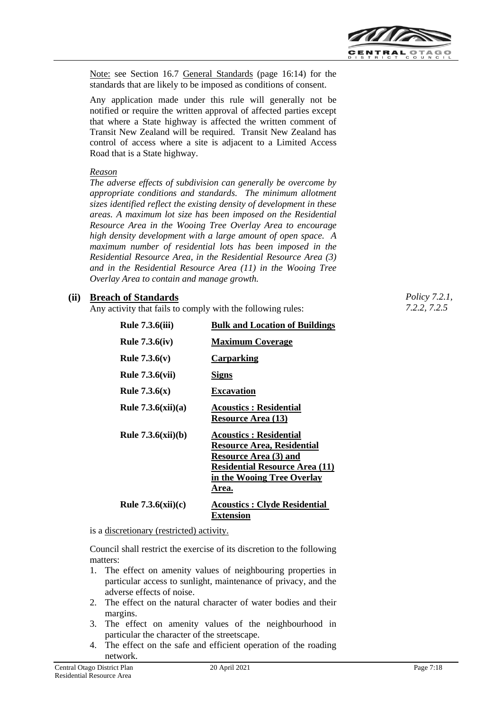

Note: see Section 16.7 General Standards (page 16:14) for the standards that are likely to be imposed as conditions of consent.

Any application made under this rule will generally not be notified or require the written approval of affected parties except that where a State highway is affected the written comment of Transit New Zealand will be required. Transit New Zealand has control of access where a site is adjacent to a Limited Access Road that is a State highway.

#### *Reason*

*The adverse effects of subdivision can generally be overcome by appropriate conditions and standards. The minimum allotment sizes identified reflect the existing density of development in these areas. A maximum lot size has been imposed on the Residential Resource Area in the Wooing Tree Overlay Area to encourage high density development with a large amount of open space. A maximum number of residential lots has been imposed in the Residential Resource Area, in the Residential Resource Area (3) and in the Residential Resource Area (11) in the Wooing Tree Overlay Area to contain and manage growth.* 

### **(ii) Breach of Standards**

Any activity that fails to comply with the following rules:

| <b>Rule 7.3.6(iii)</b> | <b>Bulk and Location of Buildings</b>                                                                                                                                       |
|------------------------|-----------------------------------------------------------------------------------------------------------------------------------------------------------------------------|
| <b>Rule 7.3.6(iv)</b>  | <b>Maximum Coverage</b>                                                                                                                                                     |
| <b>Rule 7.3.6(v)</b>   | <b>Carparking</b>                                                                                                                                                           |
| <b>Rule 7.3.6(vii)</b> | Signs                                                                                                                                                                       |
| <b>Rule 7.3.6(x)</b>   | <b>Excavation</b>                                                                                                                                                           |
| Rule $7.3.6(xii)(a)$   | <b>Acoustics: Residential</b><br><b>Resource Area (13)</b>                                                                                                                  |
| Rule $7.3.6(xii)(b)$   | <b>Acoustics: Residential</b><br>Resource Area, Residential<br><b>Resource Area (3) and</b><br><b>Residential Resource Area (11)</b><br>in the Wooing Tree Overlay<br>Area. |
| Rule $7.3.6(xii)(c)$   | <b>Acoustics: Clyde Residential</b><br>Extension                                                                                                                            |

is a discretionary (restricted) activity.

Council shall restrict the exercise of its discretion to the following matters:

- 1. The effect on amenity values of neighbouring properties in particular access to sunlight, maintenance of privacy, and the adverse effects of noise.
- 2. The effect on the natural character of water bodies and their margins.
- 3. The effect on amenity values of the neighbourhood in particular the character of the streetscape.
- 4. The effect on the safe and efficient operation of the roading network.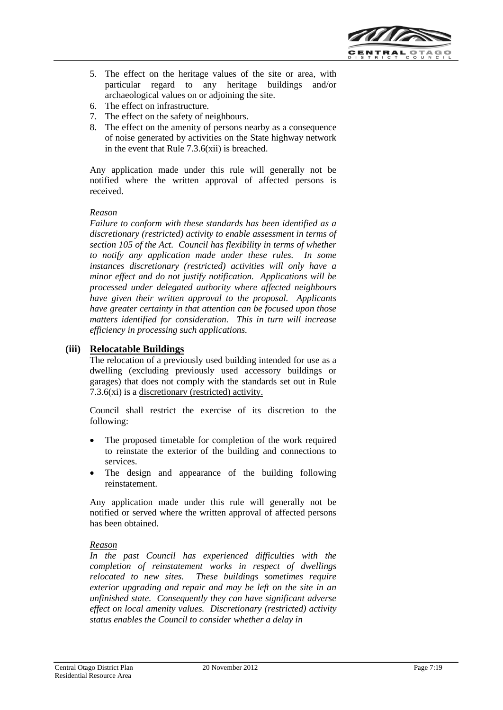

5. The effect on the heritage values of the site or area, with particular regard to any heritage buildings and/or archaeological values on or adjoining the site.

- 6. The effect on infrastructure.
- 7. The effect on the safety of neighbours.
- 8. The effect on the amenity of persons nearby as a consequence of noise generated by activities on the State highway network in the event that Rule 7.3.6(xii) is breached.

Any application made under this rule will generally not be notified where the written approval of affected persons is received.

#### *Reason*

*Failure to conform with these standards has been identified as a discretionary (restricted) activity to enable assessment in terms of section 105 of the Act. Council has flexibility in terms of whether to notify any application made under these rules. In some instances discretionary (restricted) activities will only have a minor effect and do not justify notification. Applications will be processed under delegated authority where affected neighbours have given their written approval to the proposal. Applicants have greater certainty in that attention can be focused upon those matters identified for consideration. This in turn will increase efficiency in processing such applications.*

### **(iii) Relocatable Buildings**

The relocation of a previously used building intended for use as a dwelling (excluding previously used accessory buildings or garages) that does not comply with the standards set out in Rule 7.3.6(xi) is a discretionary (restricted) activity.

Council shall restrict the exercise of its discretion to the following:

- The proposed timetable for completion of the work required to reinstate the exterior of the building and connections to services.
- The design and appearance of the building following reinstatement.

Any application made under this rule will generally not be notified or served where the written approval of affected persons has been obtained.

#### *Reason*

*In the past Council has experienced difficulties with the completion of reinstatement works in respect of dwellings relocated to new sites. These buildings sometimes require exterior upgrading and repair and may be left on the site in an unfinished state. Consequently they can have significant adverse effect on local amenity values. Discretionary (restricted) activity status enables the Council to consider whether a delay in*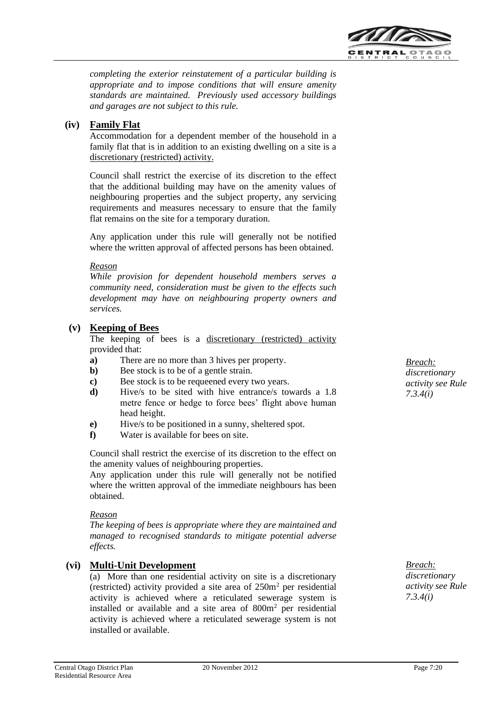

*completing the exterior reinstatement of a particular building is appropriate and to impose conditions that will ensure amenity standards are maintained. Previously used accessory buildings and garages are not subject to this rule.*

# **(iv) Family Flat**

Accommodation for a dependent member of the household in a family flat that is in addition to an existing dwelling on a site is a discretionary (restricted) activity.

Council shall restrict the exercise of its discretion to the effect that the additional building may have on the amenity values of neighbouring properties and the subject property, any servicing requirements and measures necessary to ensure that the family flat remains on the site for a temporary duration.

Any application under this rule will generally not be notified where the written approval of affected persons has been obtained.

#### *Reason*

*While provision for dependent household members serves a community need, consideration must be given to the effects such development may have on neighbouring property owners and services.*

### **(v) Keeping of Bees**

The keeping of bees is a discretionary (restricted) activity provided that:

- **a)** There are no more than 3 hives per property.
- **b**) Bee stock is to be of a gentle strain.
- **c**) Bee stock is to be requeened every two years.
- **d)** Hive/s to be sited with hive entrance/s towards a 1.8 metre fence or hedge to force bees' flight above human head height.
- **e)** Hive/s to be positioned in a sunny, sheltered spot.
- **f)** Water is available for bees on site.

Council shall restrict the exercise of its discretion to the effect on the amenity values of neighbouring properties.

Any application under this rule will generally not be notified where the written approval of the immediate neighbours has been obtained.

#### *Reason*

*The keeping of bees is appropriate where they are maintained and managed to recognised standards to mitigate potential adverse effects.*

# **(vi) Multi-Unit Development**

(a) More than one residential activity on site is a discretionary (restricted) activity provided a site area of  $250m<sup>2</sup>$  per residential activity is achieved where a reticulated sewerage system is installed or available and a site area of  $800m<sup>2</sup>$  per residential activity is achieved where a reticulated sewerage system is not installed or available.

*Breach: discretionary activity see Rule 7.3.4(i)*

*Breach: discretionary activity see Rule* 

*7.3.4(i)*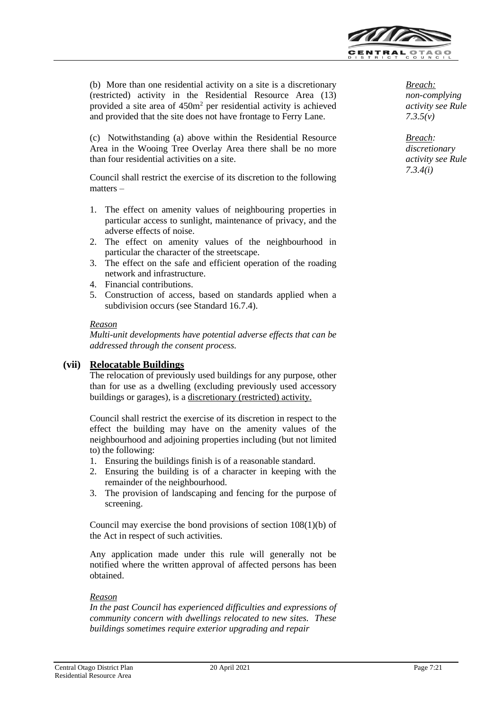

(b) More than one residential activity on a site is a discretionary (restricted) activity in the Residential Resource Area (13) provided a site area of 450m<sup>2</sup> per residential activity is achieved and provided that the site does not have frontage to Ferry Lane.

(c) Notwithstanding (a) above within the Residential Resource Area in the Wooing Tree Overlay Area there shall be no more than four residential activities on a site.

Council shall restrict the exercise of its discretion to the following matters –

- 1. The effect on amenity values of neighbouring properties in particular access to sunlight, maintenance of privacy, and the adverse effects of noise.
- 2. The effect on amenity values of the neighbourhood in particular the character of the streetscape.
- 3. The effect on the safe and efficient operation of the roading network and infrastructure.
- 4. Financial contributions.
- 5. Construction of access, based on standards applied when a subdivision occurs (see Standard 16.7.4).

#### *Reason*

*Multi-unit developments have potential adverse effects that can be addressed through the consent process.*

# **(vii) Relocatable Buildings**

The relocation of previously used buildings for any purpose, other than for use as a dwelling (excluding previously used accessory buildings or garages), is a discretionary (restricted) activity.

Council shall restrict the exercise of its discretion in respect to the effect the building may have on the amenity values of the neighbourhood and adjoining properties including (but not limited to) the following:

- 1. Ensuring the buildings finish is of a reasonable standard.
- 2. Ensuring the building is of a character in keeping with the remainder of the neighbourhood.
- 3. The provision of landscaping and fencing for the purpose of screening.

Council may exercise the bond provisions of section 108(1)(b) of the Act in respect of such activities.

Any application made under this rule will generally not be notified where the written approval of affected persons has been obtained.

#### *Reason*

*In the past Council has experienced difficulties and expressions of community concern with dwellings relocated to new sites. These buildings sometimes require exterior upgrading and repair*

*Breach: non-complying activity see Rule 7.3.5(v)*

*Breach: discretionary activity see Rule 7.3.4(i)*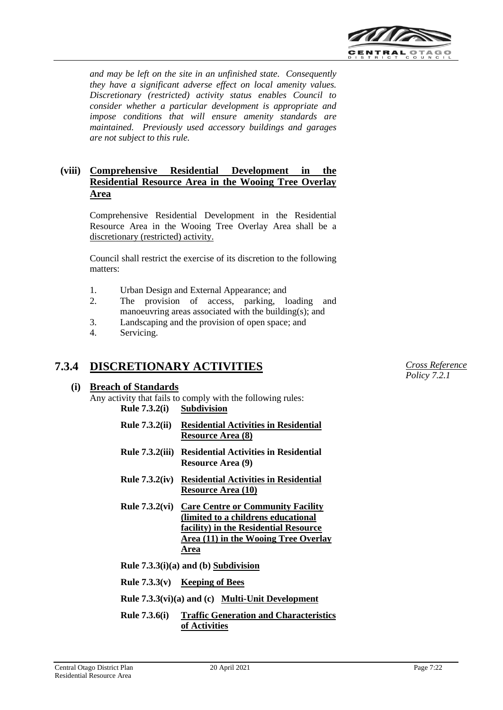

*and may be left on the site in an unfinished state. Consequently they have a significant adverse effect on local amenity values. Discretionary (restricted) activity status enables Council to consider whether a particular development is appropriate and impose conditions that will ensure amenity standards are maintained. Previously used accessory buildings and garages are not subject to this rule.*

# **(viii) Comprehensive Residential Development in the Residential Resource Area in the Wooing Tree Overlay Area**

Comprehensive Residential Development in the Residential Resource Area in the Wooing Tree Overlay Area shall be a discretionary (restricted) activity.

Council shall restrict the exercise of its discretion to the following matters:

- 1. Urban Design and External Appearance; and
- 2. The provision of access, parking, loading and manoeuvring areas associated with the building(s); and
- 3. Landscaping and the provision of open space; and
- 4. Servicing.

#### **7.3.4 DISCRETIONARY ACTIVITIES**

# **(i) Breach of Standards**

Any activity that fails to comply with the following rules: **Rule 7.3.2(i) Subdivision**

- **Rule 7.3.2(ii) Residential Activities in Residential Resource Area (8)**
- **Rule 7.3.2(iii) Residential Activities in Residential Resource Area (9)**
- **Rule 7.3.2(iv) Residential Activities in Residential Resource Area (10)**
- **Rule 7.3.2(vi) Care Centre or Community Facility (limited to a childrens educational facility) in the Residential Resource Area (11) in the Wooing Tree Overlay Area**
- **Rule 7.3.3(i)(a) and (b) Subdivision**
- **Rule 7.3.3(v) Keeping of Bees**
- **Rule 7.3.3(vi)(a) and (c) Multi-Unit Development**
- **Rule 7.3.6(i) Traffic Generation and Characteristics of Activities**

*Cross Reference Policy 7.2.1*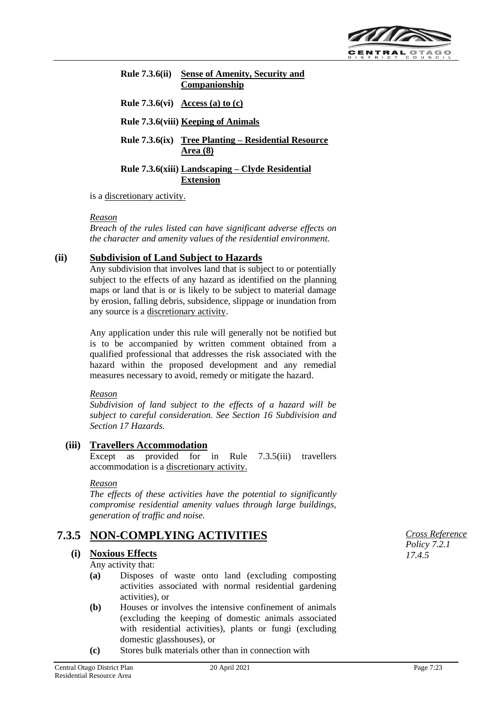

# **Rule 7.3.6(ii) Sense of Amenity, Security and Companionship**

**Rule 7.3.6(vi) Access (a) to (c)**

**Rule 7.3.6(viii) Keeping of Animals**

**Rule 7.3.6(ix) Tree Planting – Residential Resource Area (8)**

**Rule 7.3.6(xiii) Landscaping – Clyde Residential Extension**

is a discretionary activity.

#### *Reason*

*Breach of the rules listed can have significant adverse effects on the character and amenity values of the residential environment.*

### **(ii) Subdivision of Land Subject to Hazards**

Any subdivision that involves land that is subject to or potentially subject to the effects of any hazard as identified on the planning maps or land that is or is likely to be subject to material damage by erosion, falling debris, subsidence, slippage or inundation from any source is a discretionary activity.

Any application under this rule will generally not be notified but is to be accompanied by written comment obtained from a qualified professional that addresses the risk associated with the hazard within the proposed development and any remedial measures necessary to avoid, remedy or mitigate the hazard.

#### *Reason*

*Subdivision of land subject to the effects of a hazard will be subject to careful consideration. See Section 16 Subdivision and Section 17 Hazards.*

#### **(iii) Travellers Accommodation**

Except as provided for in Rule 7.3.5(iii) travellers accommodation is a discretionary activity.

#### *Reason*

*The effects of these activities have the potential to significantly compromise residential amenity values through large buildings, generation of traffic and noise.*

# **7.3.5 NON-COMPLYING ACTIVITIES**

#### **(i) Noxious Effects**

Any activity that:

- **(a)** Disposes of waste onto land (excluding composting activities associated with normal residential gardening activities), or
- **(b)** Houses or involves the intensive confinement of animals (excluding the keeping of domestic animals associated with residential activities), plants or fungi (excluding domestic glasshouses), or
- **(c)** Stores bulk materials other than in connection with

*Cross Reference Policy 7.2.1 17.4.5*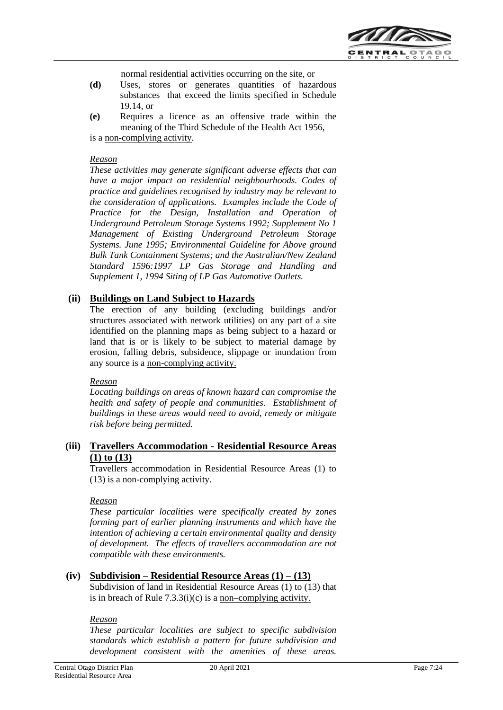

normal residential activities occurring on the site, or

- **(d)** Uses, stores or generates quantities of hazardous substances that exceed the limits specified in Schedule 19.14, or
- **(e)** Requires a licence as an offensive trade within the meaning of the Third Schedule of the Health Act 1956, is a non-complying activity.

#### *Reason*

*These activities may generate significant adverse effects that can have a major impact on residential neighbourhoods. Codes of practice and guidelines recognised by industry may be relevant to the consideration of applications. Examples include the Code of Practice for the Design, Installation and Operation of Underground Petroleum Storage Systems 1992; Supplement No 1 Management of Existing Underground Petroleum Storage Systems. June 1995; Environmental Guideline for Above ground Bulk Tank Containment Systems; and the Australian/New Zealand Standard 1596:1997 LP Gas Storage and Handling and Supplement 1, 1994 Siting of LP Gas Automotive Outlets.*

# **(ii) Buildings on Land Subject to Hazards**

The erection of any building (excluding buildings and/or structures associated with network utilities) on any part of a site identified on the planning maps as being subject to a hazard or land that is or is likely to be subject to material damage by erosion, falling debris, subsidence, slippage or inundation from any source is a non-complying activity.

#### *Reason*

*Locating buildings on areas of known hazard can compromise the health and safety of people and communities. Establishment of buildings in these areas would need to avoid, remedy or mitigate risk before being permitted.*

### **(iii) Travellers Accommodation - Residential Resource Areas (1) to (13)**

Travellers accommodation in Residential Resource Areas (1) to (13) is a non-complying activity.

#### *Reason*

*These particular localities were specifically created by zones forming part of earlier planning instruments and which have the intention of achieving a certain environmental quality and density of development. The effects of travellers accommodation are not compatible with these environments.*

# **(iv) Subdivision – Residential Resource Areas (1) – (13)**

Subdivision of land in Residential Resource Areas (1) to (13) that is in breach of Rule 7.3.3(i)(c) is a non–complying activity.

#### *Reason*

*These particular localities are subject to specific subdivision standards which establish a pattern for future subdivision and development consistent with the amenities of these areas.*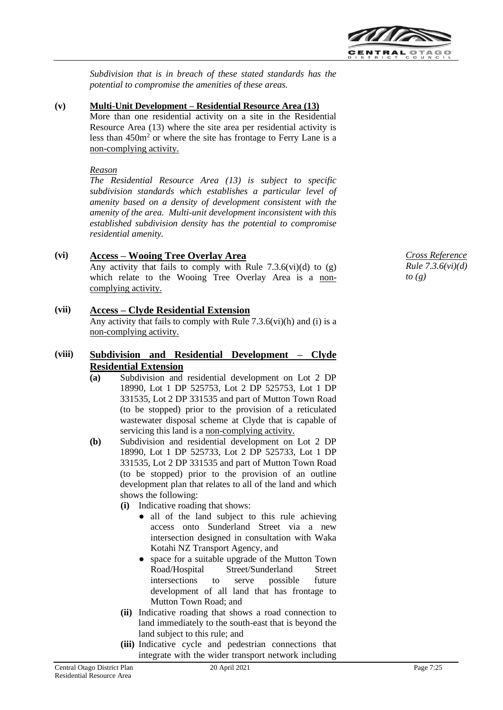

*Subdivision that is in breach of these stated standards has the potential to compromise the amenities of these areas.*

#### **(v) Multi-Unit Development – Residential Resource Area (13)**

More than one residential activity on a site in the Residential Resource Area (13) where the site area per residential activity is less than 450m<sup>2</sup> or where the site has frontage to Ferry Lane is a non-complying activity.

#### *Reason*

*The Residential Resource Area (13) is subject to specific subdivision standards which establishes a particular level of amenity based on a density of development consistent with the amenity of the area. Multi-unit development inconsistent with this established subdivision density has the potential to compromise residential amenity.*

# **(vi) Access – Wooing Tree Overlay Area**

Any activity that fails to comply with Rule 7.3.6(vi)(d) to  $(g)$ which relate to the Wooing Tree Overlay Area is a noncomplying activity.

### **(vii) Access – Clyde Residential Extension**

Any activity that fails to comply with Rule  $7.3.6$ (vi)(h) and (i) is a non-complying activity.

# **(viii) Subdivision and Residential Development – Clyde Residential Extension**

- **(a)** Subdivision and residential development on Lot 2 DP 18990, Lot 1 DP 525753, Lot 2 DP 525753, Lot 1 DP 331535, Lot 2 DP 331535 and part of Mutton Town Road (to be stopped) prior to the provision of a reticulated wastewater disposal scheme at Clyde that is capable of servicing this land is a non-complying activity.
- **(b)** Subdivision and residential development on Lot 2 DP 18990, Lot 1 DP 525733, Lot 2 DP 525733, Lot 1 DP 331535, Lot 2 DP 331535 and part of Mutton Town Road (to be stopped) prior to the provision of an outline development plan that relates to all of the land and which shows the following:
	- **(i)** Indicative roading that shows:
		- all of the land subject to this rule achieving access onto Sunderland Street via a new intersection designed in consultation with Waka Kotahi NZ Transport Agency, and
		- space for a suitable upgrade of the Mutton Town Road/Hospital Street/Sunderland Street intersections to serve possible future development of all land that has frontage to Mutton Town Road; and
	- **(ii)** Indicative roading that shows a road connection to land immediately to the south-east that is beyond the land subject to this rule; and
	- **(iii)** Indicative cycle and pedestrian connections that integrate with the wider transport network including

*Cross Reference Rule 7.3.6(vi)(d) to (g)*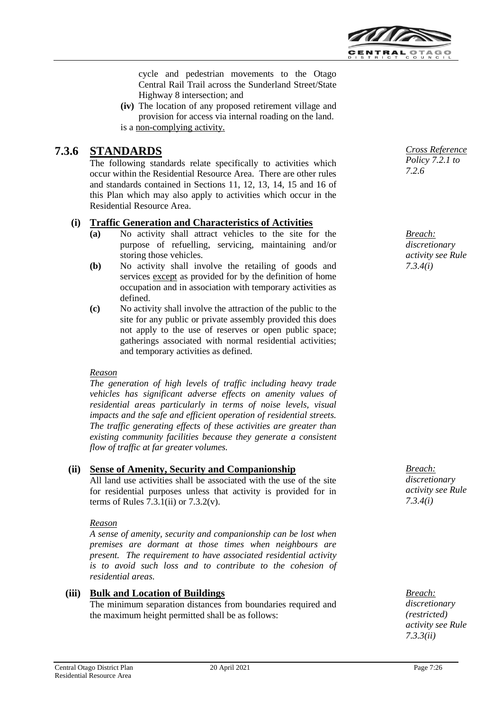

cycle and pedestrian movements to the Otago Central Rail Trail across the Sunderland Street/State Highway 8 intersection; and

**(iv)** The location of any proposed retirement village and provision for access via internal roading on the land. is a non-complying activity.

#### **7.3.6 STANDARDS**

The following standards relate specifically to activities which occur within the Residential Resource Area. There are other rules and standards contained in Sections 11, 12, 13, 14, 15 and 16 of this Plan which may also apply to activities which occur in the Residential Resource Area.

### **(i) Traffic Generation and Characteristics of Activities**

- **(a)** No activity shall attract vehicles to the site for the purpose of refuelling, servicing, maintaining and/or storing those vehicles.
- **(b)** No activity shall involve the retailing of goods and services except as provided for by the definition of home occupation and in association with temporary activities as defined.
- **(c)** No activity shall involve the attraction of the public to the site for any public or private assembly provided this does not apply to the use of reserves or open public space; gatherings associated with normal residential activities; and temporary activities as defined.

#### *Reason*

*The generation of high levels of traffic including heavy trade vehicles has significant adverse effects on amenity values of residential areas particularly in terms of noise levels, visual impacts and the safe and efficient operation of residential streets. The traffic generating effects of these activities are greater than existing community facilities because they generate a consistent flow of traffic at far greater volumes.*

# **(ii) Sense of Amenity, Security and Companionship**

All land use activities shall be associated with the use of the site for residential purposes unless that activity is provided for in terms of Rules  $7.3.1(i)$  or  $7.3.2(v)$ .

#### *Reason*

*A sense of amenity, security and companionship can be lost when premises are dormant at those times when neighbours are present. The requirement to have associated residential activity is to avoid such loss and to contribute to the cohesion of residential areas.*

#### **(iii) Bulk and Location of Buildings**

The minimum separation distances from boundaries required and the maximum height permitted shall be as follows:

*Cross Reference Policy 7.2.1 to 7.2.6*

*Breach: discretionary activity see Rule 7.3.4(i)*

*Breach: discretionary activity see Rule 7.3.4(i)*

*Breach: discretionary (restricted) activity see Rule 7.3.3(ii)*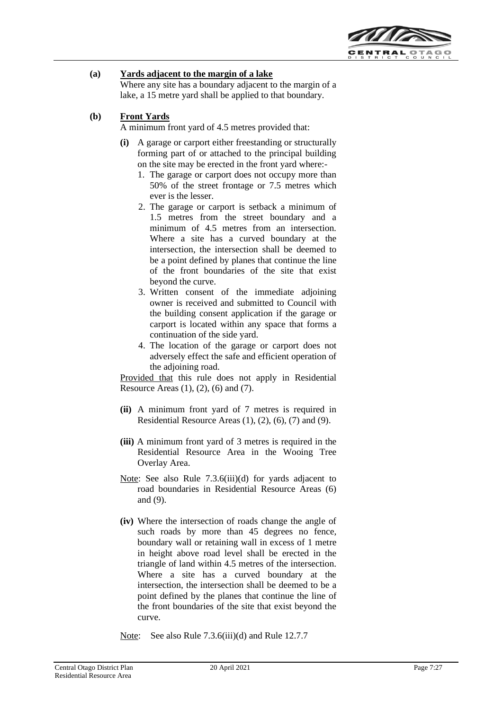

# **(a) Yards adjacent to the margin of a lake**

Where any site has a boundary adjacent to the margin of a lake, a 15 metre yard shall be applied to that boundary.

# **(b) Front Yards**

A minimum front yard of 4.5 metres provided that:

- **(i)** A garage or carport either freestanding or structurally forming part of or attached to the principal building on the site may be erected in the front yard where:-
	- 1. The garage or carport does not occupy more than 50% of the street frontage or 7.5 metres which ever is the lesser.
	- 2. The garage or carport is setback a minimum of 1.5 metres from the street boundary and a minimum of 4.5 metres from an intersection. Where a site has a curved boundary at the intersection, the intersection shall be deemed to be a point defined by planes that continue the line of the front boundaries of the site that exist beyond the curve.
	- 3. Written consent of the immediate adjoining owner is received and submitted to Council with the building consent application if the garage or carport is located within any space that forms a continuation of the side yard.
	- 4. The location of the garage or carport does not adversely effect the safe and efficient operation of the adjoining road.

Provided that this rule does not apply in Residential Resource Areas (1), (2), (6) and (7).

- **(ii)** A minimum front yard of 7 metres is required in Residential Resource Areas (1), (2), (6), (7) and (9).
- **(iii)** A minimum front yard of 3 metres is required in the Residential Resource Area in the Wooing Tree Overlay Area.
- Note: See also Rule 7.3.6(iii)(d) for yards adjacent to road boundaries in Residential Resource Areas (6) and (9).
- **(iv)** Where the intersection of roads change the angle of such roads by more than 45 degrees no fence, boundary wall or retaining wall in excess of 1 metre in height above road level shall be erected in the triangle of land within 4.5 metres of the intersection. Where a site has a curved boundary at the intersection, the intersection shall be deemed to be a point defined by the planes that continue the line of the front boundaries of the site that exist beyond the curve.

Note: See also Rule 7.3.6(iii)(d) and Rule 12.7.7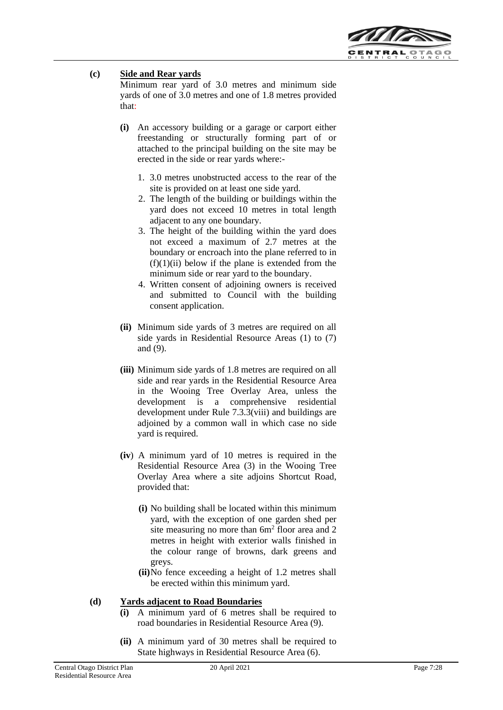

# **(c) Side and Rear yards**

Minimum rear yard of 3.0 metres and minimum side yards of one of 3.0 metres and one of 1.8 metres provided that:

- **(i)** An accessory building or a garage or carport either freestanding or structurally forming part of or attached to the principal building on the site may be erected in the side or rear yards where:-
	- 1. 3.0 metres unobstructed access to the rear of the site is provided on at least one side yard.
	- 2. The length of the building or buildings within the yard does not exceed 10 metres in total length adjacent to any one boundary.
	- 3. The height of the building within the yard does not exceed a maximum of 2.7 metres at the boundary or encroach into the plane referred to in  $(f)(1)(ii)$  below if the plane is extended from the minimum side or rear yard to the boundary.
	- 4. Written consent of adjoining owners is received and submitted to Council with the building consent application.
- **(ii)** Minimum side yards of 3 metres are required on all side yards in Residential Resource Areas (1) to (7) and (9).
- **(iii)** Minimum side yards of 1.8 metres are required on all side and rear yards in the Residential Resource Area in the Wooing Tree Overlay Area, unless the development is a comprehensive residential development under Rule 7.3.3(viii) and buildings are adjoined by a common wall in which case no side yard is required.
- **(iv**) A minimum yard of 10 metres is required in the Residential Resource Area (3) in the Wooing Tree Overlay Area where a site adjoins Shortcut Road, provided that:
	- **(i)** No building shall be located within this minimum yard, with the exception of one garden shed per site measuring no more than  $6m^2$  floor area and  $2$ metres in height with exterior walls finished in the colour range of browns, dark greens and greys.
	- **(ii)**No fence exceeding a height of 1.2 metres shall be erected within this minimum yard.

#### **(d) Yards adjacent to Road Boundaries**

- **(i)** A minimum yard of 6 metres shall be required to road boundaries in Residential Resource Area (9).
- **(ii)** A minimum yard of 30 metres shall be required to State highways in Residential Resource Area (6).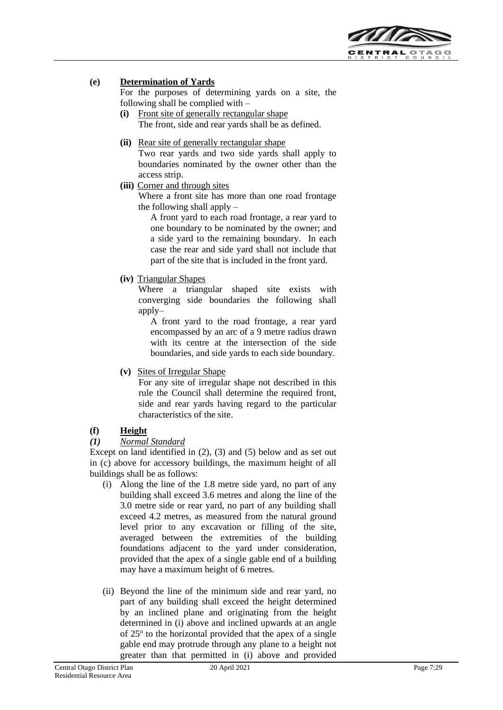

# **(e) Determination of Yards**

For the purposes of determining yards on a site, the following shall be complied with –

- **(i)** Front site of generally rectangular shape The front, side and rear yards shall be as defined.
- **(ii)** Rear site of generally rectangular shape Two rear yards and two side yards shall apply to boundaries nominated by the owner other than the access strip.
- **(iii)** Corner and through sites

Where a front site has more than one road frontage the following shall apply –

A front yard to each road frontage, a rear yard to one boundary to be nominated by the owner; and a side yard to the remaining boundary. In each case the rear and side yard shall not include that part of the site that is included in the front yard.

**(iv)** Triangular Shapes

Where a triangular shaped site exists with converging side boundaries the following shall apply–

A front yard to the road frontage, a rear yard encompassed by an arc of a 9 metre radius drawn with its centre at the intersection of the side boundaries, and side yards to each side boundary.

**(v)** Sites of Irregular Shape

For any site of irregular shape not described in this rule the Council shall determine the required front, side and rear yards having regard to the particular characteristics of the site.

# **(f) Height**

#### *(1) Normal Standard*

Except on land identified in (2), (3) and (5) below and as set out in (c) above for accessory buildings, the maximum height of all buildings shall be as follows:

- (i) Along the line of the 1.8 metre side yard, no part of any building shall exceed 3.6 metres and along the line of the 3.0 metre side or rear yard, no part of any building shall exceed 4.2 metres, as measured from the natural ground level prior to any excavation or filling of the site, averaged between the extremities of the building foundations adjacent to the yard under consideration, provided that the apex of a single gable end of a building may have a maximum height of 6 metres.
- (ii) Beyond the line of the minimum side and rear yard, no part of any building shall exceed the height determined by an inclined plane and originating from the height determined in (i) above and inclined upwards at an angle of 25° to the horizontal provided that the apex of a single gable end may protrude through any plane to a height not greater than that permitted in (i) above and provided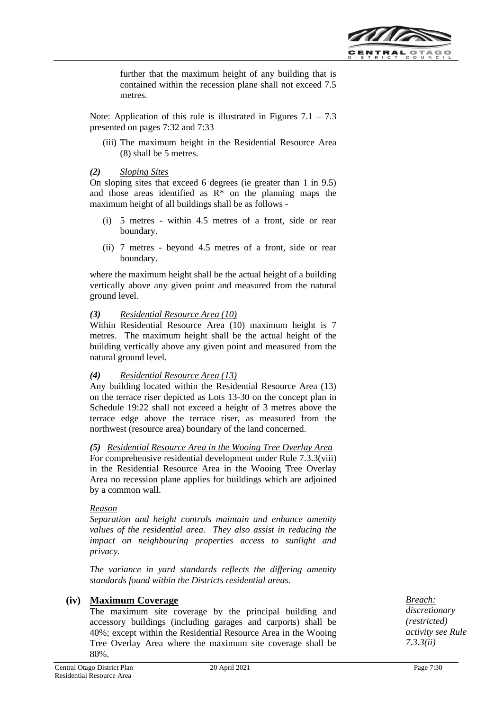

further that the maximum height of any building that is contained within the recession plane shall not exceed 7.5 metres.

Note: Application of this rule is illustrated in Figures  $7.1 - 7.3$ presented on pages 7:32 and 7:33

(iii) The maximum height in the Residential Resource Area (8) shall be 5 metres.

#### *(2) Sloping Sites*

On sloping sites that exceed 6 degrees (ie greater than 1 in 9.5) and those areas identified as  $R^*$  on the planning maps the maximum height of all buildings shall be as follows -

- (i) 5 metres within 4.5 metres of a front, side or rear boundary.
- (ii) 7 metres beyond 4.5 metres of a front, side or rear boundary.

where the maximum height shall be the actual height of a building vertically above any given point and measured from the natural ground level.

### *(3) Residential Resource Area (10)*

Within Residential Resource Area (10) maximum height is 7 metres. The maximum height shall be the actual height of the building vertically above any given point and measured from the natural ground level.

#### *(4) Residential Resource Area (13)*

Any building located within the Residential Resource Area (13) on the terrace riser depicted as Lots 13-30 on the concept plan in Schedule 19:22 shall not exceed a height of 3 metres above the terrace edge above the terrace riser, as measured from the northwest (resource area) boundary of the land concerned.

#### *(5) Residential Resource Area in the Wooing Tree Overlay Area*

For comprehensive residential development under Rule 7.3.3(viii) in the Residential Resource Area in the Wooing Tree Overlay Area no recession plane applies for buildings which are adjoined by a common wall.

#### *Reason*

*Separation and height controls maintain and enhance amenity values of the residential area. They also assist in reducing the impact on neighbouring properties access to sunlight and privacy.*

*The variance in yard standards reflects the differing amenity standards found within the Districts residential areas.*

# **(iv) Maximum Coverage**

The maximum site coverage by the principal building and accessory buildings (including garages and carports) shall be 40%; except within the Residential Resource Area in the Wooing Tree Overlay Area where the maximum site coverage shall be 80%.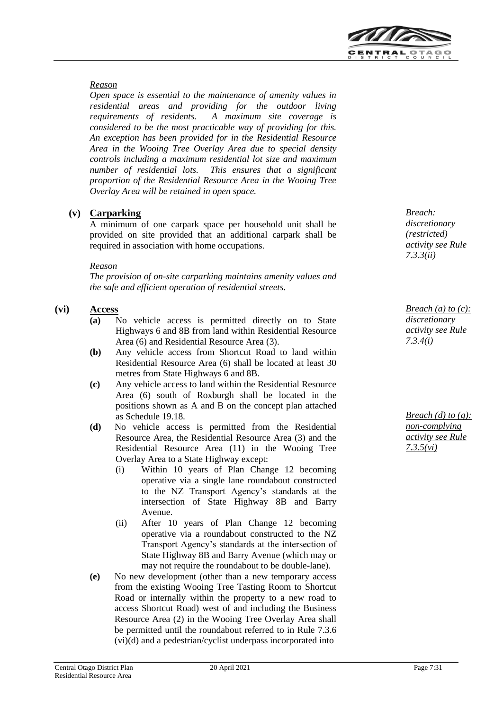

#### *Reason*

*Open space is essential to the maintenance of amenity values in residential areas and providing for the outdoor living requirements of residents. A maximum site coverage is considered to be the most practicable way of providing for this. An exception has been provided for in the Residential Resource Area in the Wooing Tree Overlay Area due to special density controls including a maximum residential lot size and maximum number of residential lots. This ensures that a significant proportion of the Residential Resource Area in the Wooing Tree Overlay Area will be retained in open space.* 

# **(v) Carparking**

A minimum of one carpark space per household unit shall be provided on site provided that an additional carpark shall be required in association with home occupations.

### *Reason*

*The provision of on-site carparking maintains amenity values and the safe and efficient operation of residential streets.*

# **(vi) Access**

- **(a)** No vehicle access is permitted directly on to State Highways 6 and 8B from land within Residential Resource Area (6) and Residential Resource Area (3).
- **(b)** Any vehicle access from Shortcut Road to land within Residential Resource Area (6) shall be located at least 30 metres from State Highways 6 and 8B.
- **(c)** Any vehicle access to land within the Residential Resource Area (6) south of Roxburgh shall be located in the positions shown as A and B on the concept plan attached as Schedule 19.18.
- **(d)** No vehicle access is permitted from the Residential Resource Area, the Residential Resource Area (3) and the Residential Resource Area (11) in the Wooing Tree Overlay Area to a State Highway except:
	- (i) Within 10 years of Plan Change 12 becoming operative via a single lane roundabout constructed to the NZ Transport Agency's standards at the intersection of State Highway 8B and Barry Avenue.
	- (ii) After 10 years of Plan Change 12 becoming operative via a roundabout constructed to the NZ Transport Agency's standards at the intersection of State Highway 8B and Barry Avenue (which may or may not require the roundabout to be double-lane).
- **(e)** No new development (other than a new temporary access from the existing Wooing Tree Tasting Room to Shortcut Road or internally within the property to a new road to access Shortcut Road) west of and including the Business Resource Area (2) in the Wooing Tree Overlay Area shall be permitted until the roundabout referred to in Rule 7.3.6 (vi)(d) and a pedestrian/cyclist underpass incorporated into

*Breach: discretionary (restricted) activity see Rule 7.3.3(ii)*

*Breach (a) to (c): discretionary activity see Rule 7.3.4(i)*

*Breach (d) to (g): non-complying activity see Rule 7.3.5(vi)*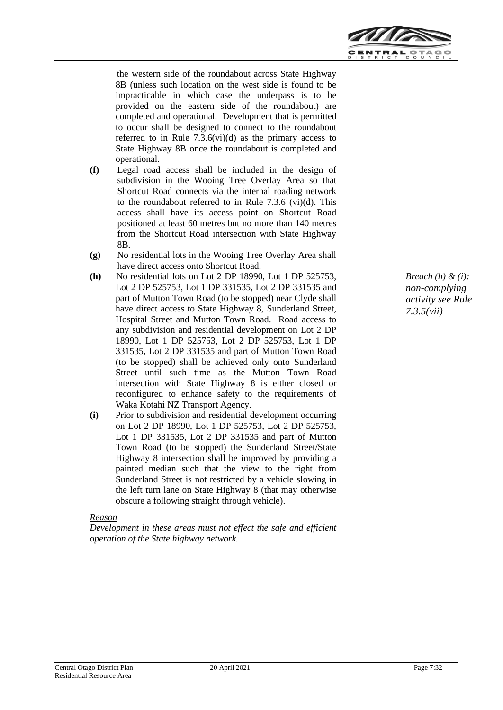

the western side of the roundabout across State Highway 8B (unless such location on the west side is found to be impracticable in which case the underpass is to be provided on the eastern side of the roundabout) are completed and operational. Development that is permitted to occur shall be designed to connect to the roundabout referred to in Rule  $7.3.6(vi)(d)$  as the primary access to State Highway 8B once the roundabout is completed and operational.

- **(f)** Legal road access shall be included in the design of subdivision in the Wooing Tree Overlay Area so that Shortcut Road connects via the internal roading network to the roundabout referred to in Rule 7.3.6 (vi)(d). This access shall have its access point on Shortcut Road positioned at least 60 metres but no more than 140 metres from the Shortcut Road intersection with State Highway 8B.
- **(g)** No residential lots in the Wooing Tree Overlay Area shall have direct access onto Shortcut Road.
- **(h)** No residential lots on Lot 2 DP 18990, Lot 1 DP 525753, Lot 2 DP 525753, Lot 1 DP 331535, Lot 2 DP 331535 and part of Mutton Town Road (to be stopped) near Clyde shall have direct access to State Highway 8, Sunderland Street, Hospital Street and Mutton Town Road. Road access to any subdivision and residential development on Lot 2 DP 18990, Lot 1 DP 525753, Lot 2 DP 525753, Lot 1 DP 331535, Lot 2 DP 331535 and part of Mutton Town Road (to be stopped) shall be achieved only onto Sunderland Street until such time as the Mutton Town Road intersection with State Highway 8 is either closed or reconfigured to enhance safety to the requirements of Waka Kotahi NZ Transport Agency.
- **(i)** Prior to subdivision and residential development occurring on Lot 2 DP 18990, Lot 1 DP 525753, Lot 2 DP 525753, Lot 1 DP 331535, Lot 2 DP 331535 and part of Mutton Town Road (to be stopped) the Sunderland Street/State Highway 8 intersection shall be improved by providing a painted median such that the view to the right from Sunderland Street is not restricted by a vehicle slowing in the left turn lane on State Highway 8 (that may otherwise obscure a following straight through vehicle).

#### *Reason*

*Development in these areas must not effect the safe and efficient operation of the State highway network.*

*Breach (h) & (i): non-complying activity see Rule 7.3.5(vii)*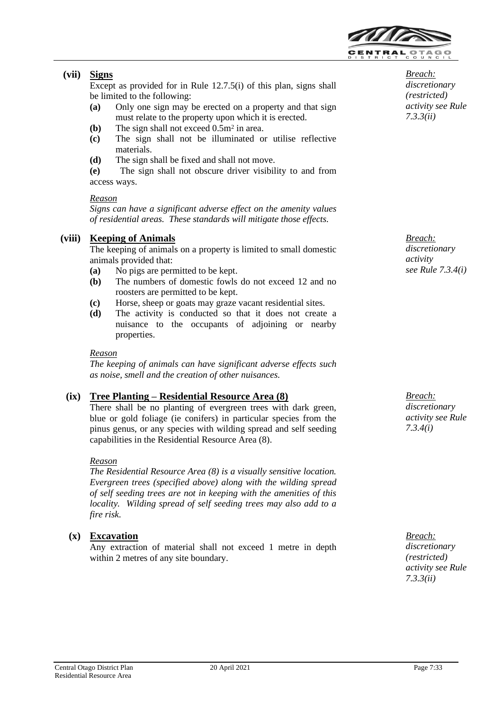

# **(vii) Signs**

Except as provided for in Rule 12.7.5(i) of this plan, signs shall be limited to the following:

- **(a)** Only one sign may be erected on a property and that sign must relate to the property upon which it is erected.
- **(b)** The sign shall not exceed 0.5m<sup>2</sup> in area.
- **(c)** The sign shall not be illuminated or utilise reflective materials.
- **(d)** The sign shall be fixed and shall not move.

**(e)** The sign shall not obscure driver visibility to and from access ways.

#### *Reason*

*Signs can have a significant adverse effect on the amenity values of residential areas. These standards will mitigate those effects.*

# **(viii) Keeping of Animals**

The keeping of animals on a property is limited to small domestic animals provided that:

- **(a)** No pigs are permitted to be kept.
- **(b)** The numbers of domestic fowls do not exceed 12 and no roosters are permitted to be kept.
- **(c)** Horse, sheep or goats may graze vacant residential sites.
- **(d)** The activity is conducted so that it does not create a nuisance to the occupants of adjoining or nearby properties.

#### *Reason*

*The keeping of animals can have significant adverse effects such as noise, smell and the creation of other nuisances.*

# **(ix) Tree Planting – Residential Resource Area (8)**

There shall be no planting of evergreen trees with dark green, blue or gold foliage (ie conifers) in particular species from the pinus genus, or any species with wilding spread and self seeding capabilities in the Residential Resource Area (8).

#### *Reason*

*The Residential Resource Area (8) is a visually sensitive location. Evergreen trees (specified above) along with the wilding spread of self seeding trees are not in keeping with the amenities of this locality. Wilding spread of self seeding trees may also add to a fire risk.*

# **(x) Excavation**

Any extraction of material shall not exceed 1 metre in depth within 2 metres of any site boundary.

*Breach: discretionary (restricted) activity see Rule 7.3.3(ii)*

*Breach: discretionary activity see Rule 7.3.4(i)*

*Breach: discretionary activity see Rule 7.3.4(i)*

*Breach: discretionary (restricted) activity see Rule 7.3.3(ii)*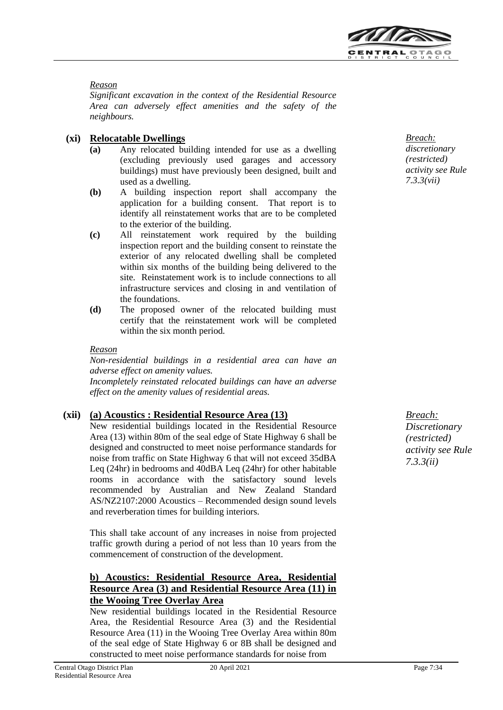

#### *Reason*

*Significant excavation in the context of the Residential Resource Area can adversely effect amenities and the safety of the neighbours.*

# **(xi) Relocatable Dwellings**

- **(a)** Any relocated building intended for use as a dwelling (excluding previously used garages and accessory buildings) must have previously been designed, built and used as a dwelling.
- **(b)** A building inspection report shall accompany the application for a building consent. That report is to identify all reinstatement works that are to be completed to the exterior of the building.
- **(c)** All reinstatement work required by the building inspection report and the building consent to reinstate the exterior of any relocated dwelling shall be completed within six months of the building being delivered to the site. Reinstatement work is to include connections to all infrastructure services and closing in and ventilation of the foundations.
- **(d)** The proposed owner of the relocated building must certify that the reinstatement work will be completed within the six month period.

#### *Reason*

*Non-residential buildings in a residential area can have an adverse effect on amenity values.*

*Incompletely reinstated relocated buildings can have an adverse effect on the amenity values of residential areas.*

# **(xii) (a) Acoustics : Residential Resource Area (13)**

New residential buildings located in the Residential Resource Area (13) within 80m of the seal edge of State Highway 6 shall be designed and constructed to meet noise performance standards for noise from traffic on State Highway 6 that will not exceed 35dBA Leq (24hr) in bedrooms and 40dBA Leq (24hr) for other habitable rooms in accordance with the satisfactory sound levels recommended by Australian and New Zealand Standard AS/NZ2107:2000 Acoustics – Recommended design sound levels and reverberation times for building interiors.

This shall take account of any increases in noise from projected traffic growth during a period of not less than 10 years from the commencement of construction of the development.

# **b) Acoustics: Residential Resource Area, Residential Resource Area (3) and Residential Resource Area (11) in the Wooing Tree Overlay Area**

New residential buildings located in the Residential Resource Area, the Residential Resource Area (3) and the Residential Resource Area (11) in the Wooing Tree Overlay Area within 80m of the seal edge of State Highway 6 or 8B shall be designed and constructed to meet noise performance standards for noise from

*Breach: discretionary (restricted) activity see Rule 7.3.3(vii)*

*Breach: Discretionary (restricted) activity see Rule 7.3.3(ii)*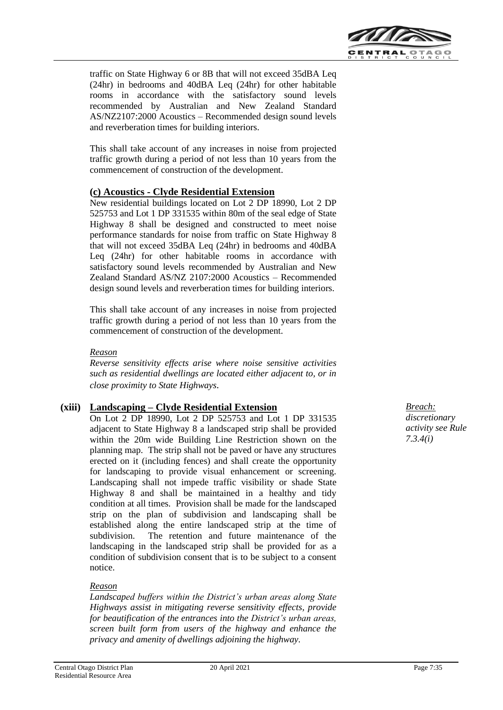

traffic on State Highway 6 or 8B that will not exceed 35dBA Leq (24hr) in bedrooms and 40dBA Leq (24hr) for other habitable rooms in accordance with the satisfactory sound levels recommended by Australian and New Zealand Standard AS/NZ2107:2000 Acoustics – Recommended design sound levels and reverberation times for building interiors.

This shall take account of any increases in noise from projected traffic growth during a period of not less than 10 years from the commencement of construction of the development.

# **(c) Acoustics - Clyde Residential Extension**

New residential buildings located on Lot 2 DP 18990, Lot 2 DP 525753 and Lot 1 DP 331535 within 80m of the seal edge of State Highway 8 shall be designed and constructed to meet noise performance standards for noise from traffic on State Highway 8 that will not exceed 35dBA Leq (24hr) in bedrooms and 40dBA Leq (24hr) for other habitable rooms in accordance with satisfactory sound levels recommended by Australian and New Zealand Standard AS/NZ 2107:2000 Acoustics – Recommended design sound levels and reverberation times for building interiors.

This shall take account of any increases in noise from projected traffic growth during a period of not less than 10 years from the commencement of construction of the development.

#### *Reason*

*Reverse sensitivity effects arise where noise sensitive activities such as residential dwellings are located either adjacent to, or in close proximity to State Highways.*

# **(xiii) Landscaping – Clyde Residential Extension**

On Lot 2 DP 18990, Lot 2 DP 525753 and Lot 1 DP 331535 adjacent to State Highway 8 a landscaped strip shall be provided within the 20m wide Building Line Restriction shown on the planning map. The strip shall not be paved or have any structures erected on it (including fences) and shall create the opportunity for landscaping to provide visual enhancement or screening. Landscaping shall not impede traffic visibility or shade State Highway 8 and shall be maintained in a healthy and tidy condition at all times. Provision shall be made for the landscaped strip on the plan of subdivision and landscaping shall be established along the entire landscaped strip at the time of subdivision. The retention and future maintenance of the landscaping in the landscaped strip shall be provided for as a condition of subdivision consent that is to be subject to a consent notice.

#### *Reason*

*Landscaped buffers within the District's urban areas along State Highways assist in mitigating reverse sensitivity effects, provide for beautification of the entrances into the District's urban areas, screen built form from users of the highway and enhance the privacy and amenity of dwellings adjoining the highway.*

*Breach: discretionary activity see Rule 7.3.4(i)*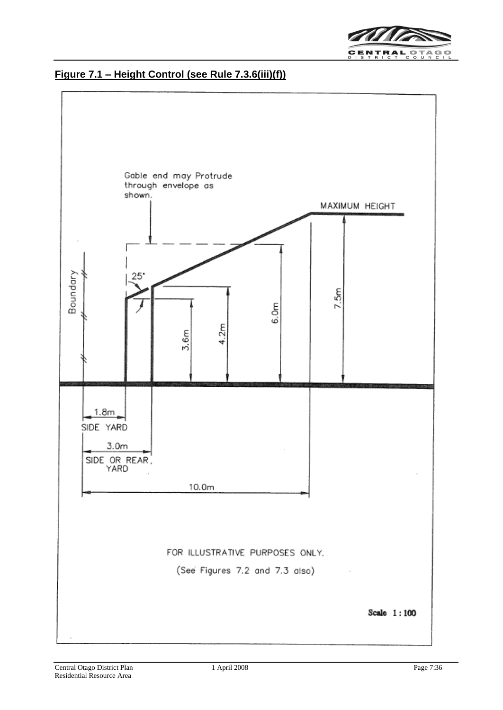